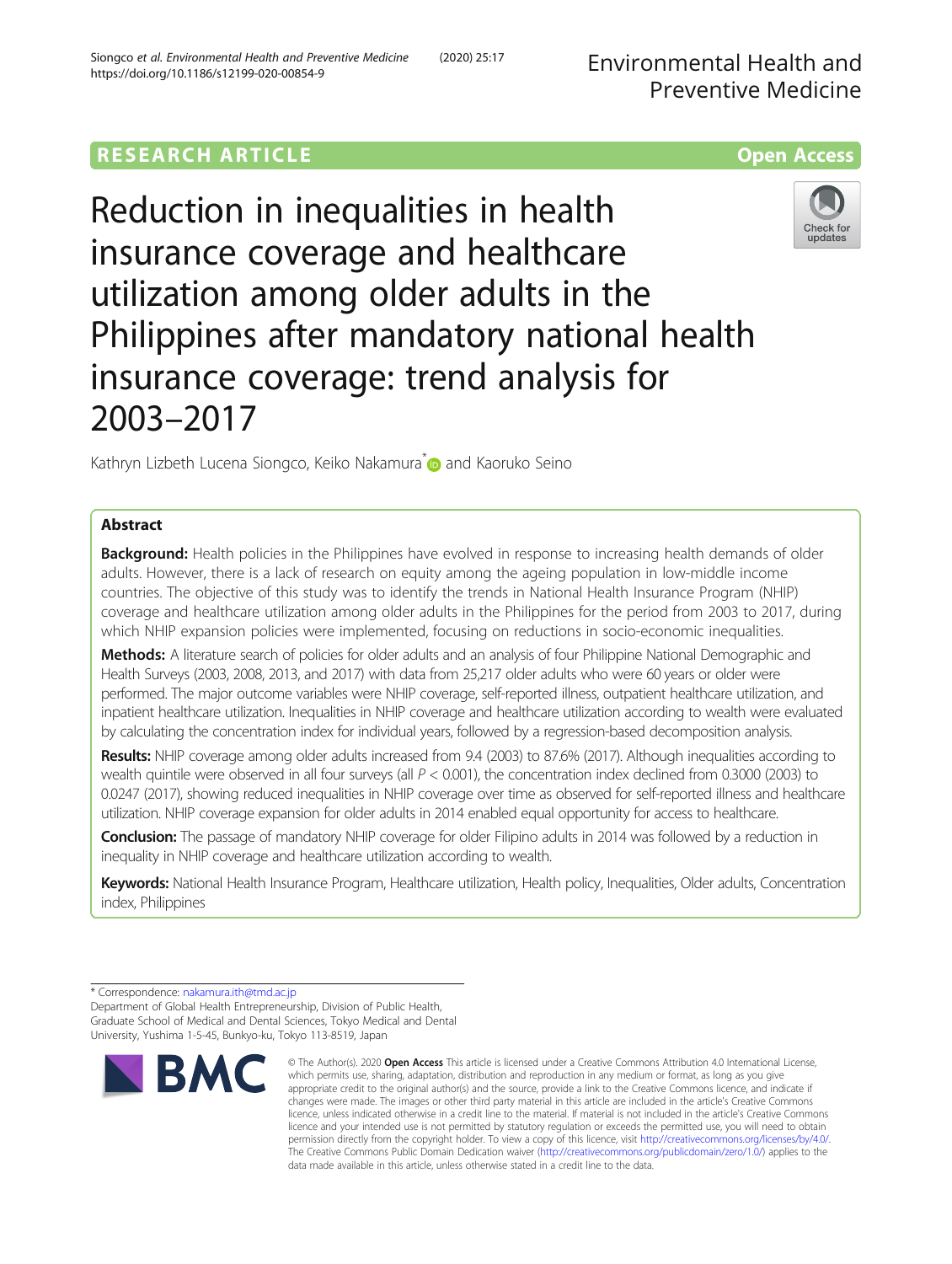# **RESEARCH ARTICLE Example 2014 12:30 The Contract of Contract ACCESS**



Reduction in inequalities in health insurance coverage and healthcare utilization among older adults in the Philippines after mandatory national health insurance coverage: trend analysis for 2003–2017



Kathryn Lizbeth Lucena Siongco, Keiko Nakamura<sup>[\\*](http://orcid.org/0000-0002-9119-4730)</sup> and Kaoruko Seino

# Abstract

Background: Health policies in the Philippines have evolved in response to increasing health demands of older adults. However, there is a lack of research on equity among the ageing population in low-middle income countries. The objective of this study was to identify the trends in National Health Insurance Program (NHIP) coverage and healthcare utilization among older adults in the Philippines for the period from 2003 to 2017, during which NHIP expansion policies were implemented, focusing on reductions in socio-economic inequalities.

Methods: A literature search of policies for older adults and an analysis of four Philippine National Demographic and Health Surveys (2003, 2008, 2013, and 2017) with data from 25,217 older adults who were 60 years or older were performed. The major outcome variables were NHIP coverage, self-reported illness, outpatient healthcare utilization, and inpatient healthcare utilization. Inequalities in NHIP coverage and healthcare utilization according to wealth were evaluated by calculating the concentration index for individual years, followed by a regression-based decomposition analysis.

Results: NHIP coverage among older adults increased from 9.4 (2003) to 87.6% (2017). Although inequalities according to wealth quintile were observed in all four surveys (all  $P < 0.001$ ), the concentration index declined from 0.3000 (2003) to 0.0247 (2017), showing reduced inequalities in NHIP coverage over time as observed for self-reported illness and healthcare utilization. NHIP coverage expansion for older adults in 2014 enabled equal opportunity for access to healthcare.

Conclusion: The passage of mandatory NHIP coverage for older Filipino adults in 2014 was followed by a reduction in inequality in NHIP coverage and healthcare utilization according to wealth.

Keywords: National Health Insurance Program, Healthcare utilization, Health policy, Inequalities, Older adults, Concentration index, Philippines

Department of Global Health Entrepreneurship, Division of Public Health, Graduate School of Medical and Dental Sciences, Tokyo Medical and Dental University, Yushima 1-5-45, Bunkyo-ku, Tokyo 113-8519, Japan

# **BM**

<sup>\*</sup> Correspondence: [nakamura.ith@tmd.ac.jp](mailto:nakamura.ith@tmd.ac.jp)

<sup>©</sup> The Author(s), 2020 **Open Access** This article is licensed under a Creative Commons Attribution 4.0 International License, which permits use, sharing, adaptation, distribution and reproduction in any medium or format, as long as you give appropriate credit to the original author(s) and the source, provide a link to the Creative Commons licence, and indicate if changes were made. The images or other third party material in this article are included in the article's Creative Commons licence, unless indicated otherwise in a credit line to the material. If material is not included in the article's Creative Commons licence and your intended use is not permitted by statutory regulation or exceeds the permitted use, you will need to obtain permission directly from the copyright holder. To view a copy of this licence, visit [http://creativecommons.org/licenses/by/4.0/.](http://creativecommons.org/licenses/by/4.0/) The Creative Commons Public Domain Dedication waiver [\(http://creativecommons.org/publicdomain/zero/1.0/](http://creativecommons.org/publicdomain/zero/1.0/)) applies to the data made available in this article, unless otherwise stated in a credit line to the data.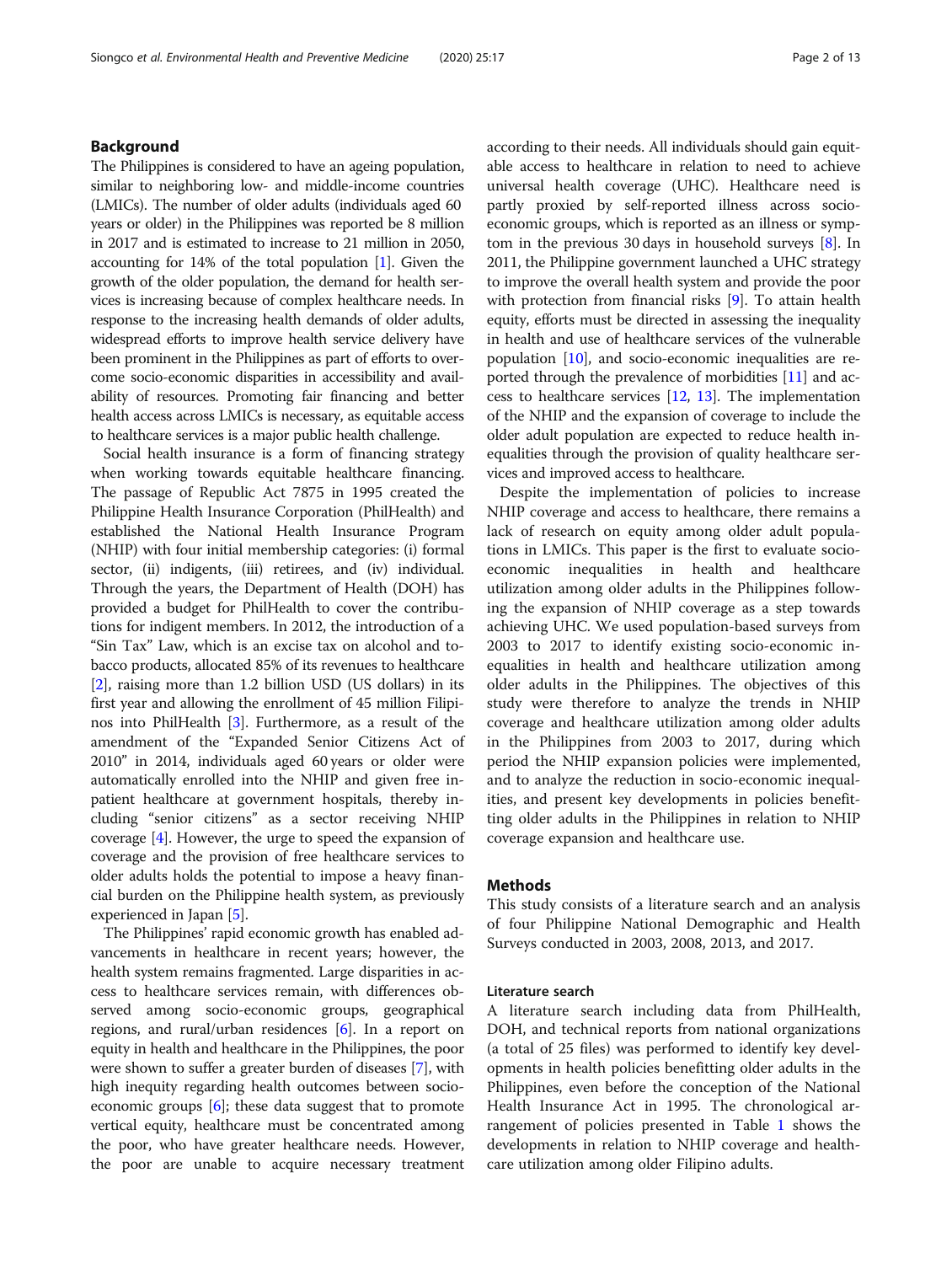# Background

The Philippines is considered to have an ageing population, similar to neighboring low- and middle-income countries (LMICs). The number of older adults (individuals aged 60 years or older) in the Philippines was reported be 8 million in 2017 and is estimated to increase to 21 million in 2050, accounting for 14% of the total population [\[1\]](#page-11-0). Given the growth of the older population, the demand for health services is increasing because of complex healthcare needs. In response to the increasing health demands of older adults, widespread efforts to improve health service delivery have been prominent in the Philippines as part of efforts to overcome socio-economic disparities in accessibility and availability of resources. Promoting fair financing and better health access across LMICs is necessary, as equitable access to healthcare services is a major public health challenge.

Social health insurance is a form of financing strategy when working towards equitable healthcare financing. The passage of Republic Act 7875 in 1995 created the Philippine Health Insurance Corporation (PhilHealth) and established the National Health Insurance Program (NHIP) with four initial membership categories: (i) formal sector, (ii) indigents, (iii) retirees, and (iv) individual. Through the years, the Department of Health (DOH) has provided a budget for PhilHealth to cover the contributions for indigent members. In 2012, the introduction of a "Sin Tax" Law, which is an excise tax on alcohol and tobacco products, allocated 85% of its revenues to healthcare [[2\]](#page-11-0), raising more than 1.2 billion USD (US dollars) in its first year and allowing the enrollment of 45 million Filipinos into PhilHealth [[3](#page-11-0)]. Furthermore, as a result of the amendment of the "Expanded Senior Citizens Act of 2010" in 2014, individuals aged 60 years or older were automatically enrolled into the NHIP and given free inpatient healthcare at government hospitals, thereby including "senior citizens" as a sector receiving NHIP coverage [[4](#page-11-0)]. However, the urge to speed the expansion of coverage and the provision of free healthcare services to older adults holds the potential to impose a heavy financial burden on the Philippine health system, as previously experienced in Japan [\[5](#page-11-0)].

The Philippines' rapid economic growth has enabled advancements in healthcare in recent years; however, the health system remains fragmented. Large disparities in access to healthcare services remain, with differences observed among socio-economic groups, geographical regions, and rural/urban residences [[6\]](#page-11-0). In a report on equity in health and healthcare in the Philippines, the poor were shown to suffer a greater burden of diseases [\[7](#page-11-0)], with high inequity regarding health outcomes between socioeconomic groups [\[6](#page-11-0)]; these data suggest that to promote vertical equity, healthcare must be concentrated among the poor, who have greater healthcare needs. However, the poor are unable to acquire necessary treatment according to their needs. All individuals should gain equitable access to healthcare in relation to need to achieve universal health coverage (UHC). Healthcare need is partly proxied by self-reported illness across socioeconomic groups, which is reported as an illness or symptom in the previous 30 days in household surveys [\[8](#page-11-0)]. In 2011, the Philippine government launched a UHC strategy to improve the overall health system and provide the poor with protection from financial risks [\[9\]](#page-11-0). To attain health equity, efforts must be directed in assessing the inequality in health and use of healthcare services of the vulnerable population  $[10]$ , and socio-economic inequalities are reported through the prevalence of morbidities [[11](#page-11-0)] and access to healthcare services  $[12, 13]$  $[12, 13]$  $[12, 13]$ . The implementation of the NHIP and the expansion of coverage to include the older adult population are expected to reduce health inequalities through the provision of quality healthcare services and improved access to healthcare.

Despite the implementation of policies to increase NHIP coverage and access to healthcare, there remains a lack of research on equity among older adult populations in LMICs. This paper is the first to evaluate socioeconomic inequalities in health and healthcare utilization among older adults in the Philippines following the expansion of NHIP coverage as a step towards achieving UHC. We used population-based surveys from 2003 to 2017 to identify existing socio-economic inequalities in health and healthcare utilization among older adults in the Philippines. The objectives of this study were therefore to analyze the trends in NHIP coverage and healthcare utilization among older adults in the Philippines from 2003 to 2017, during which period the NHIP expansion policies were implemented, and to analyze the reduction in socio-economic inequalities, and present key developments in policies benefitting older adults in the Philippines in relation to NHIP coverage expansion and healthcare use.

# Methods

This study consists of a literature search and an analysis of four Philippine National Demographic and Health Surveys conducted in 2003, 2008, 2013, and 2017.

### Literature search

A literature search including data from PhilHealth, DOH, and technical reports from national organizations (a total of 25 files) was performed to identify key developments in health policies benefitting older adults in the Philippines, even before the conception of the National Health Insurance Act in 1995. The chronological arrangement of policies presented in Table [1](#page-2-0) shows the developments in relation to NHIP coverage and healthcare utilization among older Filipino adults.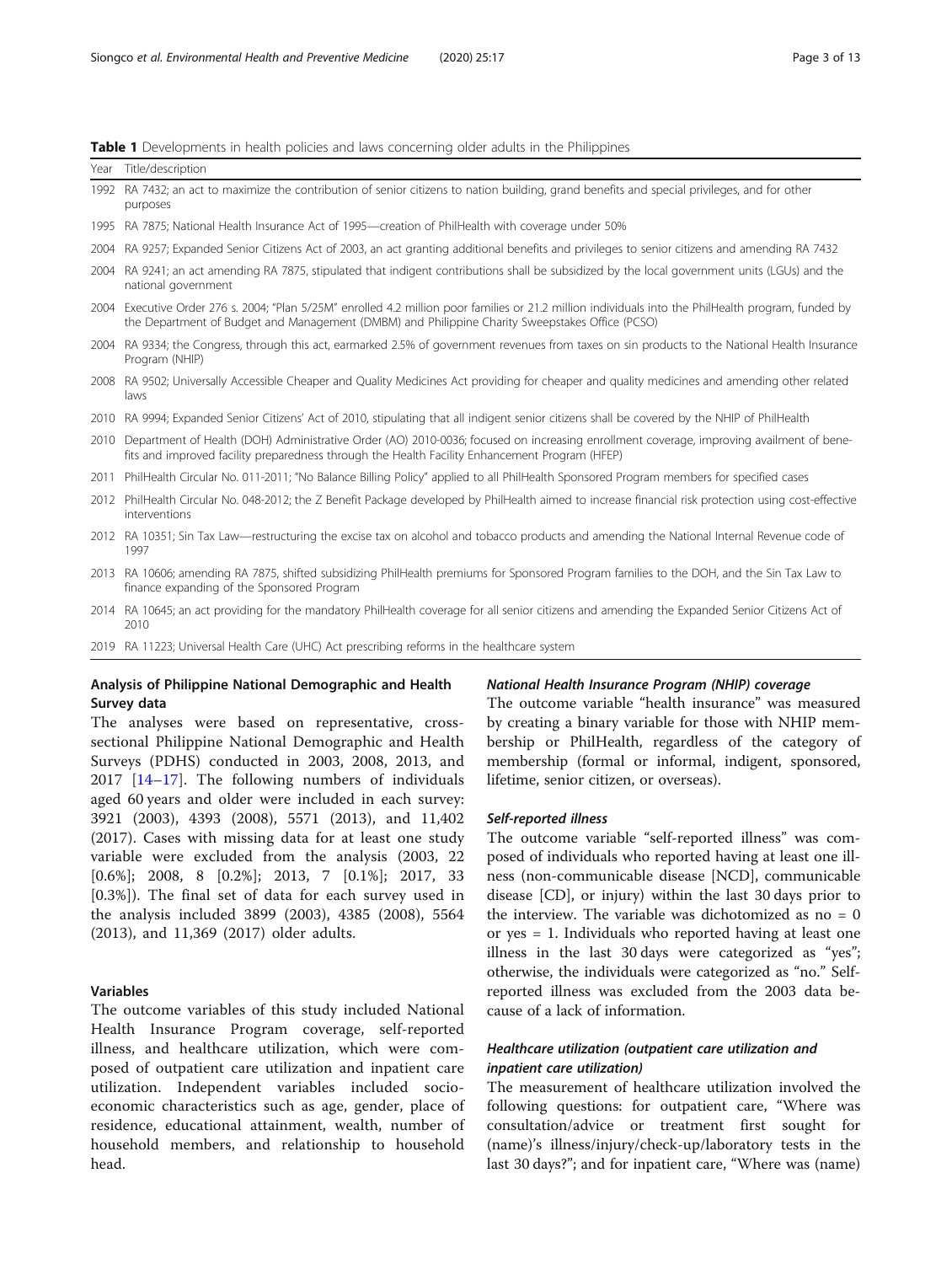<span id="page-2-0"></span>

|  |  |  | <b>Table 1</b> Developments in health policies and laws concerning older adults in the Philippines |  |  |
|--|--|--|----------------------------------------------------------------------------------------------------|--|--|
|  |  |  |                                                                                                    |  |  |

|      | Year Title/description                                                                                                                                                                                                                                  |
|------|---------------------------------------------------------------------------------------------------------------------------------------------------------------------------------------------------------------------------------------------------------|
| 1992 | RA 7432; an act to maximize the contribution of senior citizens to nation building, grand benefits and special privileges, and for other<br>purposes                                                                                                    |
|      | 1995 RA 7875; National Health Insurance Act of 1995—creation of PhilHealth with coverage under 50%                                                                                                                                                      |
| 2004 | RA 9257; Expanded Senior Citizens Act of 2003, an act granting additional benefits and privileges to senior citizens and amending RA 7432                                                                                                               |
| 2004 | RA 9241; an act amending RA 7875, stipulated that indigent contributions shall be subsidized by the local government units (LGUs) and the<br>national government                                                                                        |
|      | 2004 Executive Order 276 s. 2004; "Plan 5/25M" enrolled 4.2 million poor families or 21.2 million individuals into the PhilHealth program, funded by<br>the Department of Budget and Management (DMBM) and Philippine Charity Sweepstakes Office (PCSO) |
|      | 2004 RA 9334; the Congress, through this act, earmarked 2.5% of government revenues from taxes on sin products to the National Health Insurance<br>Program (NHIP)                                                                                       |
|      | 2008 RA 9502; Universally Accessible Cheaper and Quality Medicines Act providing for cheaper and quality medicines and amending other related<br>laws                                                                                                   |
|      | 2010 RA 9994; Expanded Senior Citizens' Act of 2010, stipulating that all indigent senior citizens shall be covered by the NHIP of PhilHealth                                                                                                           |
|      | 2010 Department of Health (DOH) Administrative Order (AO) 2010-0036; focused on increasing enrollment coverage, improving availment of bene-<br>fits and improved facility preparedness through the Health Facility Enhancement Program (HFEP)          |
|      | 2011 PhilHealth Circular No. 011-2011; "No Balance Billing Policy" applied to all PhilHealth Sponsored Program members for specified cases                                                                                                              |
|      | 2012 PhilHealth Circular No. 048-2012; the Z Benefit Package developed by PhilHealth aimed to increase financial risk protection using cost-effective<br>interventions                                                                                  |
|      | 2012 RA 10351; Sin Tax Law—restructuring the excise tax on alcohol and tobacco products and amending the National Internal Revenue code of<br>1997                                                                                                      |
|      | 2013 RA 10606; amending RA 7875, shifted subsidizing PhilHealth premiums for Sponsored Program families to the DOH, and the Sin Tax Law to<br>finance expanding of the Sponsored Program                                                                |
|      | 2014 RA 10645; an act providing for the mandatory PhilHealth coverage for all senior citizens and amending the Expanded Senior Citizens Act of<br>2010                                                                                                  |
|      | 2019 RA 11223; Universal Health Care (UHC) Act prescribing reforms in the healthcare system                                                                                                                                                             |

sectional Philippine National Demographic and Health Surveys (PDHS) conducted in 2003, 2008, 2013, and 2017 [[14](#page-11-0)–[17\]](#page-11-0). The following numbers of individuals aged 60 years and older were included in each survey: 3921 (2003), 4393 (2008), 5571 (2013), and 11,402 (2017). Cases with missing data for at least one study variable were excluded from the analysis (2003, 22 [0.6%]; 2008, 8 [0.2%]; 2013, 7 [0.1%]; 2017, 33 [0.3%]). The final set of data for each survey used in the analysis included 3899 (2003), 4385 (2008), 5564 (2013), and 11,369 (2017) older adults.

# Variables

The outcome variables of this study included National Health Insurance Program coverage, self-reported illness, and healthcare utilization, which were composed of outpatient care utilization and inpatient care utilization. Independent variables included socioeconomic characteristics such as age, gender, place of residence, educational attainment, wealth, number of household members, and relationship to household head.

by creating a binary variable for those with NHIP membership or PhilHealth, regardless of the category of membership (formal or informal, indigent, sponsored,

# Self-reported illness

lifetime, senior citizen, or overseas).

The outcome variable "self-reported illness" was composed of individuals who reported having at least one illness (non-communicable disease [NCD], communicable disease [CD], or injury) within the last 30 days prior to the interview. The variable was dichotomized as  $no = 0$ or yes = 1. Individuals who reported having at least one illness in the last 30 days were categorized as "yes"; otherwise, the individuals were categorized as "no." Selfreported illness was excluded from the 2003 data because of a lack of information.

# Healthcare utilization (outpatient care utilization and inpatient care utilization)

The measurement of healthcare utilization involved the following questions: for outpatient care, "Where was consultation/advice or treatment first sought for (name)'s illness/injury/check-up/laboratory tests in the last 30 days?"; and for inpatient care, "Where was (name)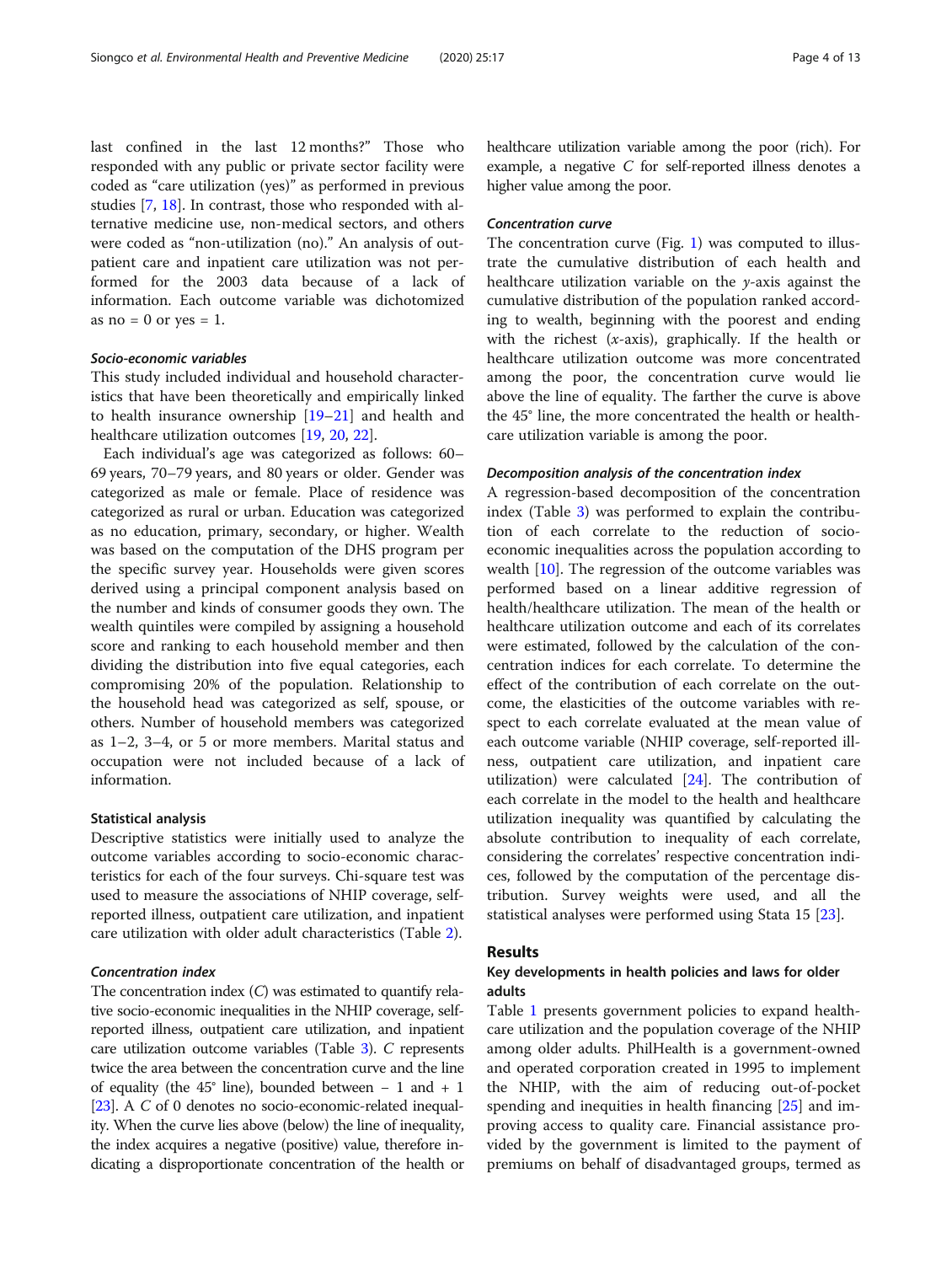last confined in the last 12 months?" Those who responded with any public or private sector facility were coded as "care utilization (yes)" as performed in previous studies [\[7,](#page-11-0) [18\]](#page-11-0). In contrast, those who responded with alternative medicine use, non-medical sectors, and others were coded as "non-utilization (no)." An analysis of outpatient care and inpatient care utilization was not performed for the 2003 data because of a lack of information. Each outcome variable was dichotomized as no  $= 0$  or yes  $= 1$ .

# Socio-economic variables

This study included individual and household characteristics that have been theoretically and empirically linked to health insurance ownership [\[19](#page-11-0)–[21\]](#page-11-0) and health and healthcare utilization outcomes [\[19](#page-11-0), [20](#page-11-0), [22\]](#page-11-0).

Each individual's age was categorized as follows: 60– 69 years, 70–79 years, and 80 years or older. Gender was categorized as male or female. Place of residence was categorized as rural or urban. Education was categorized as no education, primary, secondary, or higher. Wealth was based on the computation of the DHS program per the specific survey year. Households were given scores derived using a principal component analysis based on the number and kinds of consumer goods they own. The wealth quintiles were compiled by assigning a household score and ranking to each household member and then dividing the distribution into five equal categories, each compromising 20% of the population. Relationship to the household head was categorized as self, spouse, or others. Number of household members was categorized as 1–2, 3–4, or 5 or more members. Marital status and occupation were not included because of a lack of information.

## Statistical analysis

Descriptive statistics were initially used to analyze the outcome variables according to socio-economic characteristics for each of the four surveys. Chi-square test was used to measure the associations of NHIP coverage, selfreported illness, outpatient care utilization, and inpatient care utilization with older adult characteristics (Table [2\)](#page-4-0).

# Concentration index

The concentration index (C) was estimated to quantify relative socio-economic inequalities in the NHIP coverage, selfreported illness, outpatient care utilization, and inpatient care utilization outcome variables (Table [3\)](#page-6-0). C represents twice the area between the concentration curve and the line of equality (the 45° line), bounded between − 1 and + 1 [[23](#page-11-0)]. A C of 0 denotes no socio-economic-related inequality. When the curve lies above (below) the line of inequality, the index acquires a negative (positive) value, therefore indicating a disproportionate concentration of the health or healthcare utilization variable among the poor (rich). For example, a negative C for self-reported illness denotes a higher value among the poor.

# Concentration curve

The concentration curve (Fig. [1\)](#page-7-0) was computed to illustrate the cumulative distribution of each health and healthcare utilization variable on the  $\nu$ -axis against the cumulative distribution of the population ranked according to wealth, beginning with the poorest and ending with the richest  $(x-axis)$ , graphically. If the health or healthcare utilization outcome was more concentrated among the poor, the concentration curve would lie above the line of equality. The farther the curve is above the 45° line, the more concentrated the health or healthcare utilization variable is among the poor.

# Decomposition analysis of the concentration index

A regression-based decomposition of the concentration index (Table [3\)](#page-6-0) was performed to explain the contribution of each correlate to the reduction of socioeconomic inequalities across the population according to wealth [[10](#page-11-0)]. The regression of the outcome variables was performed based on a linear additive regression of health/healthcare utilization. The mean of the health or healthcare utilization outcome and each of its correlates were estimated, followed by the calculation of the concentration indices for each correlate. To determine the effect of the contribution of each correlate on the outcome, the elasticities of the outcome variables with respect to each correlate evaluated at the mean value of each outcome variable (NHIP coverage, self-reported illness, outpatient care utilization, and inpatient care utilization) were calculated [\[24](#page-11-0)]. The contribution of each correlate in the model to the health and healthcare utilization inequality was quantified by calculating the absolute contribution to inequality of each correlate, considering the correlates' respective concentration indices, followed by the computation of the percentage distribution. Survey weights were used, and all the statistical analyses were performed using Stata 15 [\[23](#page-11-0)].

# Results

# Key developments in health policies and laws for older adults

Table [1](#page-2-0) presents government policies to expand healthcare utilization and the population coverage of the NHIP among older adults. PhilHealth is a government-owned and operated corporation created in 1995 to implement the NHIP, with the aim of reducing out-of-pocket spending and inequities in health financing [[25](#page-12-0)] and improving access to quality care. Financial assistance provided by the government is limited to the payment of premiums on behalf of disadvantaged groups, termed as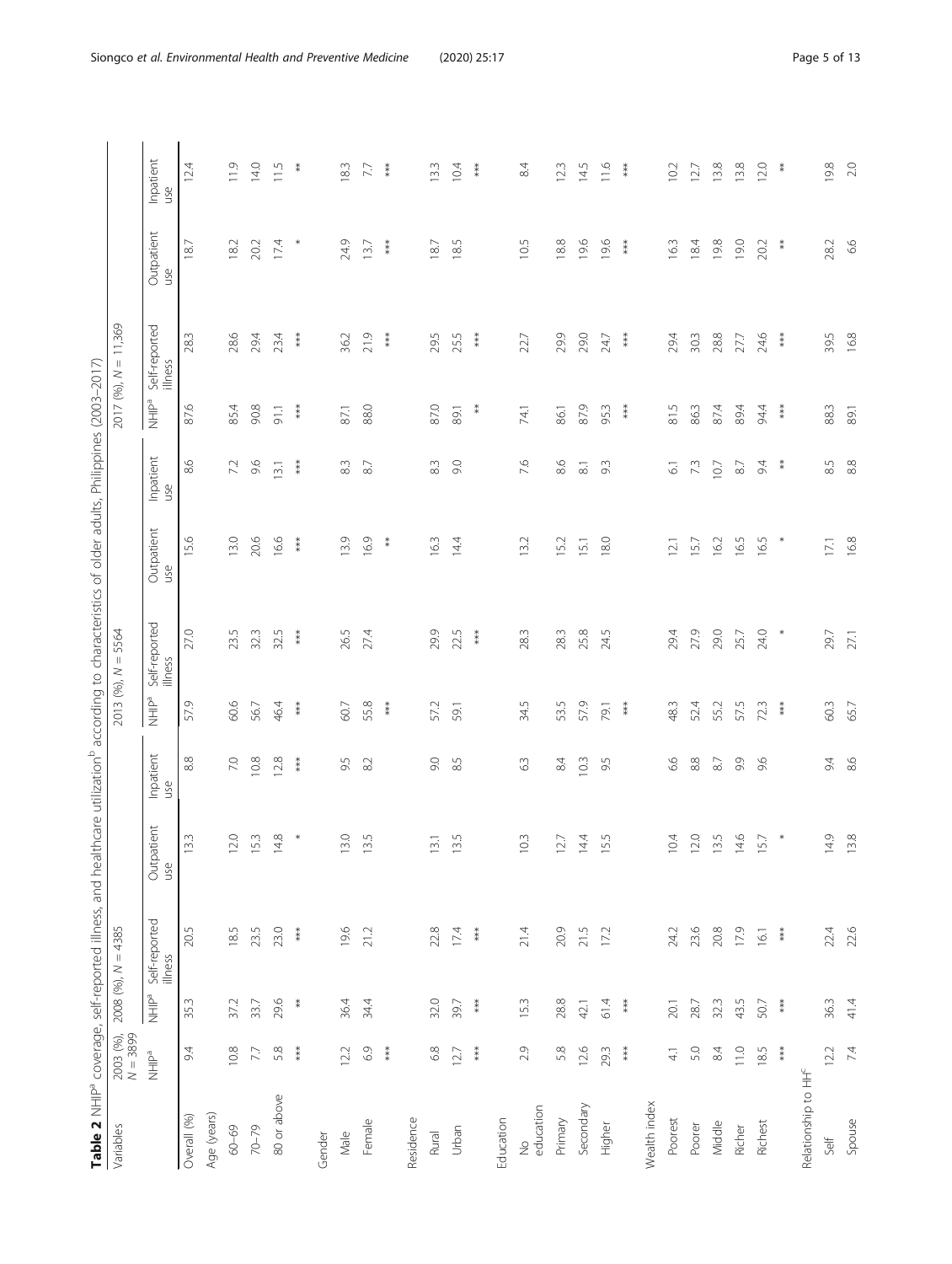| Î                              |
|--------------------------------|
| j                              |
| j<br>l                         |
|                                |
| ł<br>١<br>i                    |
| $\overline{\phantom{a}}$       |
|                                |
| ł                              |
| ļ                              |
|                                |
|                                |
|                                |
| Í                              |
|                                |
| ٢                              |
| S                              |
|                                |
| l<br>j                         |
| 5<br>i                         |
| ï                              |
| i<br>١                         |
|                                |
|                                |
|                                |
| į<br>Ï                         |
|                                |
| i<br>ī                         |
| i<br>î                         |
| ¢<br>Ï                         |
|                                |
| ł                              |
| ì<br>Ì                         |
|                                |
| Ē<br>i                         |
| l                              |
| j<br>Ì<br>ì                    |
| 5                              |
|                                |
| ţ<br>ł                         |
|                                |
| $\frac{1}{1}$<br>ׇ֚֘<br>J      |
| ì<br>$\ddot{\phantom{0}}$      |
| ٢                              |
| ģ<br>j                         |
|                                |
| $\frac{1}{1}$<br>$\frac{5}{2}$ |
|                                |
| ć<br>5<br>į                    |
| j<br>ł                         |
| ¢                              |
| $\zeta$<br>Σ<br>ł              |
| ā<br>5                         |
| Ì                              |
| ر<br>2<br>י<br>(               |
|                                |
|                                |
| ٢                              |
| ċ<br>į                         |
| l<br>Ì                         |
| I                              |
| ţ<br>۱<br>Ï                    |
|                                |
| i<br>ł<br>i<br>i<br>j          |
|                                |
| ہ<br>آ<br>Ì<br>j               |
| ŗ<br>5                         |
| ļ                              |
|                                |
| Ì<br>j<br>I                    |
| ì                              |
|                                |
|                                |
| Š<br>Ē                         |
|                                |
| I                              |
| 1                              |
|                                |
| ăbi                            |

<span id="page-4-0"></span>

| Table 2 NHIP <sup>a</sup> coverage, self-reported illness, and healthcare utilization <sup>b</sup> according to characteristics of older adults, Philippines (2003-2017) |                         |             |                          |                                               |                  |                                      |                          |                   |                  |                                      |                          |                   |                  |
|--------------------------------------------------------------------------------------------------------------------------------------------------------------------------|-------------------------|-------------|--------------------------|-----------------------------------------------|------------------|--------------------------------------|--------------------------|-------------------|------------------|--------------------------------------|--------------------------|-------------------|------------------|
| Variables                                                                                                                                                                | 2003 (%),<br>$N = 3899$ |             | $2008(96)$ , $N = 4385$  |                                               |                  |                                      | 2013 (%), $N = 5564$     |                   |                  |                                      | $2017 (96), N = 11,369$  |                   |                  |
|                                                                                                                                                                          | nHIP <sup>a</sup>       | neal<br>HHP | Self-reported<br>illness | vatient<br>Outp<br>use                        | Inpatient<br>use | ne <sub>d</sub><br>MHIP <sup>a</sup> | Self-reported<br>illness | Outpatient<br>use | Inpatient<br>use | ne <sub>d</sub><br>MHIP <sup>a</sup> | Self-reported<br>illness | Outpatient<br>use | Inpatient<br>use |
| Overall (%)                                                                                                                                                              | 94                      | 35.3        | 20.5                     | 13.3                                          | 8.8              | 57.9                                 | 27.0                     | 15.6              | 8.6              | 87.6                                 | 28.3                     | 18.7              | 12.4             |
| Age (years)                                                                                                                                                              |                         |             |                          |                                               |                  |                                      |                          |                   |                  |                                      |                          |                   |                  |
| $60 - 69$                                                                                                                                                                | 10.8                    | 37.2        | 18.5                     | 12.0                                          | 7.0              | 60.6                                 | 23.5                     | 13.0              | 72               | 85.4                                 | 28.6                     | 18.2              | 11.9             |
| $70 - 79$                                                                                                                                                                | 77                      | 33.7        | 23.5                     | 15.3                                          | 10.8             | 56.7                                 | 32.3                     | 20.6              | 9.6              | 90.8                                 | 29.4                     | 20.2              | 14.0             |
| 80 or above                                                                                                                                                              | 5.8                     | 29.6        | 23.0                     | 14.8                                          | 12.8             | 46.4                                 | 32.5                     | 16.6              | 13.1             | 91.1                                 | 23.4                     | 17.4              | 11.5             |
|                                                                                                                                                                          | $***$                   | $\ddot{*}$  | $***$                    | $\ast$                                        | $***$            | $***$                                | $***$                    | $***$             | $***$            | $**$                                 | ***                      |                   | ≸                |
| Gender                                                                                                                                                                   |                         |             |                          |                                               |                  |                                      |                          |                   |                  |                                      |                          |                   |                  |
| Male                                                                                                                                                                     | 12.2                    | 36.4        | 19.6                     | 13.0                                          | 9.5              | 60.7                                 | 26.5                     | 13.9              | $8.3\,$          | 87.1                                 | 36.2                     | 24.9              | 183              |
| Female                                                                                                                                                                   | $69$                    | 34.4        | 21.2                     | 13.5                                          | 82               | 55.8                                 | 27.4                     | 16.9              | 87               | 88.0                                 | 21.9                     | 13.7              | 77               |
|                                                                                                                                                                          | $***$                   |             |                          |                                               |                  | $***$                                |                          | $*$               |                  |                                      | $***$                    | $***$             | $***$            |
| Residence                                                                                                                                                                |                         |             |                          |                                               |                  |                                      |                          |                   |                  |                                      |                          |                   |                  |
| Rural                                                                                                                                                                    | $68$                    | 32.0        | 22.8                     | 13.1                                          | $\overline{6}$   | 57.2                                 | 29.9                     | 163               | 8.3              | 87.0                                 | 29.5                     | 18.7              | 13.3             |
| Urban                                                                                                                                                                    | 127                     | 39.7        | 17.4                     | $\mathsf{L}\cap\mathsf{L}$<br>$\overline{13}$ | 8.5              | 59.1                                 | 22.5                     | 14.4              | 0.6              | 89.1                                 | 25.5                     | 18.5              | 10.4             |
|                                                                                                                                                                          | $***$                   | $***$       | $***$                    |                                               |                  |                                      | ***                      |                   |                  | $\ddot{*}$                           | $***$                    |                   | $***$            |
| Education                                                                                                                                                                |                         |             |                          |                                               |                  |                                      |                          |                   |                  |                                      |                          |                   |                  |
| education<br>$\frac{\circ}{2}$                                                                                                                                           | 2.9                     | 153         | 21.4                     | $\sim$<br>$\subseteq$                         | 63               | 34.5                                 | 28.3                     | 13.2              | 7.6              | 74.1                                 | 22.7                     | 10.5              | 84               |
| Primary                                                                                                                                                                  | 5.8                     | 28.8        | 20.9                     | 12.7                                          | 84               | 53.5                                 | 28.3                     | 15.2              | $8.6$            | 86.1                                 | 29.9                     | 18.8              | 12.3             |
| Secondary                                                                                                                                                                | 12.6                    | 42.1        | 21.5                     | 14.4                                          | 10.3             | 57.9                                 | 25.8                     | 15.1              | $\overline{81}$  | 87.9                                 | 29.0                     | 19.6              | 14.5             |
| Higher                                                                                                                                                                   | 29.3                    | 61.4        | 17.2                     | 5<br>$\overline{5}$                           | 9.5              | 79.1                                 | 24.5                     | 18.0              | 9.3              | 95.3                                 | 24.7                     | 19.6              | 11.6             |
|                                                                                                                                                                          | $***$                   | $***$       |                          |                                               |                  | $***$                                |                          |                   |                  | $***$                                | $***$                    | $***$             | $***$            |
| Wealth index                                                                                                                                                             |                         |             |                          |                                               |                  |                                      |                          |                   |                  |                                      |                          |                   |                  |
| Poorest                                                                                                                                                                  | $\overline{4}$          | 20.1        | 24.2                     | 10.4                                          | 6.6              | 48.3                                 | 29.4                     | 12.1              | $\overline{6}$   | 81.5                                 | 29.4                     | 163               | 10.2             |
| Poorer                                                                                                                                                                   | 5.0                     | 28.7        | 23.6                     | 12.0                                          | $8.8\,$          | 52.4                                 | 27.9                     | 15.7              | $7.3$            | 86.3                                 | 30.3                     | 18.4              | 12.7             |
| Middle                                                                                                                                                                   | 84                      | 32.3        | 20.8                     | 13.5                                          | $87$             | 55.2                                 | 29.0                     | 16.2              | 10.7             | 87.4                                 | 28.8                     | 19.8              | 13.8             |
| Richer                                                                                                                                                                   | 11.0                    | 43.5        | 17.9                     | 14.6                                          | 9.9              | 57.5                                 | 25.7                     | 165               | $87\,$           | 89.4                                 | 27.7                     | 19.0              | 13.8             |
| Richest                                                                                                                                                                  | 185                     | 50.7        | 16.1                     | 15.7                                          | 9.6              | 723                                  | 24.0                     | 16.5              | 94               | 94.4                                 | 24.6                     | 20.2              | 12.0             |
|                                                                                                                                                                          | $***$                   | $***$       | $***$                    | $\ast$                                        |                  | $***$                                | $\ast$                   | $\ast$            | $\ddot{*}$       | $***$                                | ***                      | $\ddot{*}$        | $\ddot{*}$       |
| Relationship to HH <sup>c</sup>                                                                                                                                          |                         |             |                          |                                               |                  |                                      |                          |                   |                  |                                      |                          |                   |                  |
| Self                                                                                                                                                                     | 12.2                    | 36.3        | 22.4                     | 14.9                                          | 64               | 60.3                                 | 29.7                     | $17.1\,$          | 8.5              | 88.3                                 | 39.5                     | 28.2              | 19.8             |
| Spouse                                                                                                                                                                   | 7.4                     | 41.4        | 22.6                     | 13.8                                          | 86               | 65.7                                 | 27.1                     | 16.8              | $8.8$            | 89.1                                 | 16.8                     | 6.6               | 2.0              |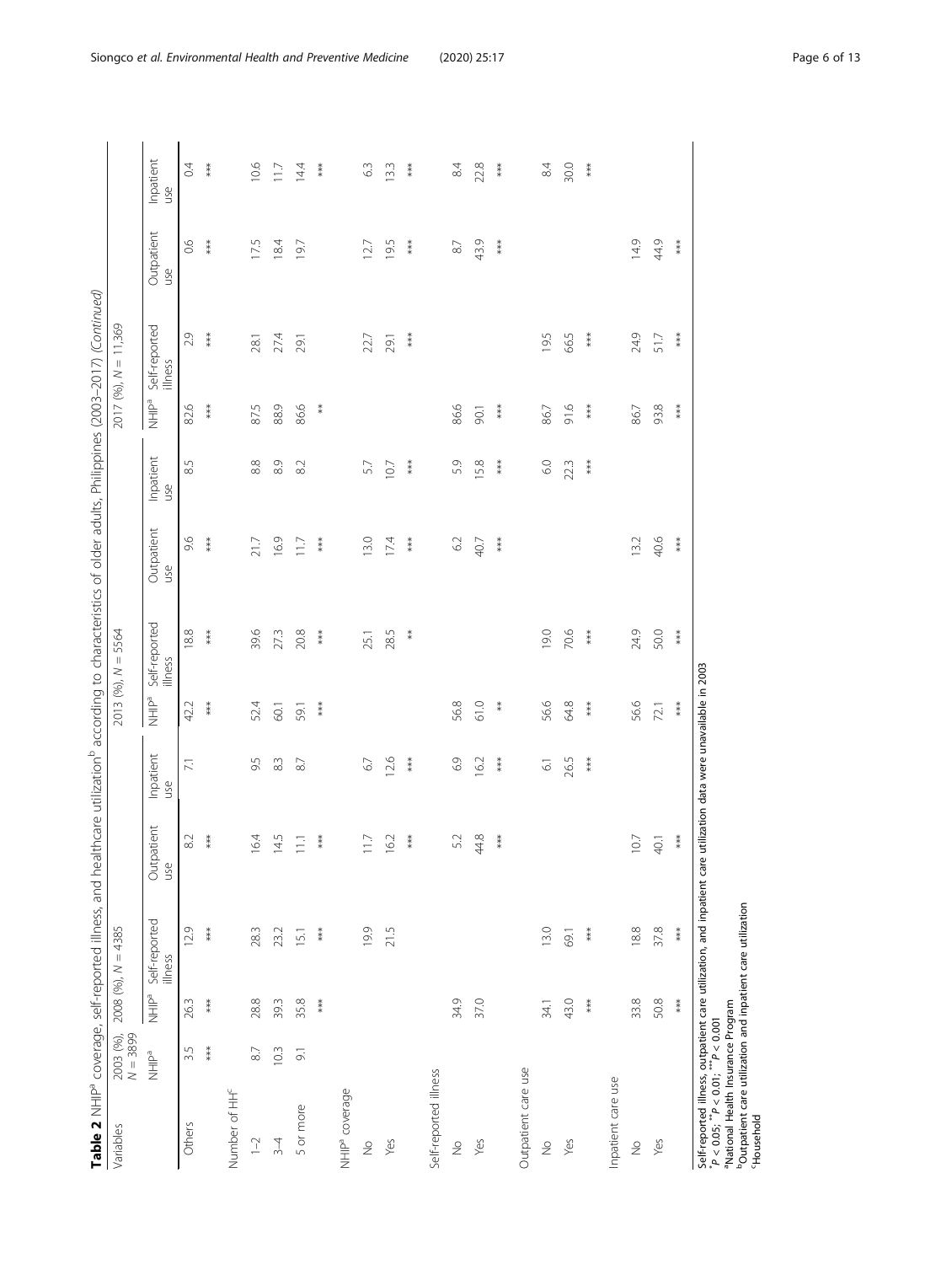| ١<br>ׇ֚֘֕֡<br>İ<br>j<br>j<br>١                                                   |  |
|----------------------------------------------------------------------------------|--|
| š<br>ţ                                                                           |  |
| $\overline{\phantom{a}}$<br>l                                                    |  |
| Ì                                                                                |  |
| Į                                                                                |  |
| l                                                                                |  |
| ׇ֚֓<br>֖֖֖֖֖֖֧ׅׅׅ֪ׅ֪֪ׅ֖֧ׅ֖֧֪֪ׅ֖֧֧֚֚֚֚֚֚֚֚֚֚֚֚֚֚֚֚֚֚֚֚֚֚֡֬֝֝֝֝֓֞֬֝֓֞֞<br>Į<br>ׇ֘֒ |  |
| ł<br>Ï                                                                           |  |
| ļ                                                                                |  |
| ļ<br>J                                                                           |  |
| ١<br>l                                                                           |  |
| j<br>ł<br>5                                                                      |  |
| ١<br>i<br>ł<br>١                                                                 |  |
| d<br>j<br>E                                                                      |  |
| j                                                                                |  |
| i<br>I<br>)<br>i                                                                 |  |
| ţ<br>i                                                                           |  |
| ì<br>į<br>1<br>j                                                                 |  |
| i<br>j<br>ł<br>١                                                                 |  |
| ł<br>֠                                                                           |  |
| ı<br>ł                                                                           |  |
| j<br>j<br>$\overline{ }$<br>ļ                                                    |  |
| ī<br>١<br>١<br>í                                                                 |  |
| j<br>İ<br>l<br>ì<br>Ï<br>֬֕֜֡                                                    |  |
| j<br>j                                                                           |  |
| j<br>١                                                                           |  |
| ļ<br>J                                                                           |  |
| d<br>1<br>ţ                                                                      |  |
| Í<br>j                                                                           |  |
| ī<br>֬֕֜֡                                                                        |  |
| ł<br>l                                                                           |  |
| i<br>l<br>ļ<br>١<br>İ                                                            |  |
| ĭ<br>١<br>í<br>Ï                                                                 |  |
|                                                                                  |  |
| j<br>1                                                                           |  |
| ţ<br>I<br>١                                                                      |  |
| ś<br>į<br>į<br>ì<br>j                                                            |  |
| ني‡ا<br>֠                                                                        |  |
| ׇ֘֒                                                                              |  |
| l<br>١<br>j<br>Š                                                                 |  |
| l<br>I                                                                           |  |
| Ì<br>١                                                                           |  |
|                                                                                  |  |
|                                                                                  |  |

|                                                                                                                                                                                            |                         |                       | Table 2 NHIP <sup>a</sup> coverage, self-reported illness, and healthcare utilization <sup>b</sup> according to characteristics of older adults, Philippines (2003-2017) (Continued) |                          |                     |                         |                          |                   |                         |                                 |                          |                   |                  |
|--------------------------------------------------------------------------------------------------------------------------------------------------------------------------------------------|-------------------------|-----------------------|--------------------------------------------------------------------------------------------------------------------------------------------------------------------------------------|--------------------------|---------------------|-------------------------|--------------------------|-------------------|-------------------------|---------------------------------|--------------------------|-------------------|------------------|
| Variables                                                                                                                                                                                  | $N = 3899$<br>2003 (%), |                       | $2008(96)$ , $N = 4385$                                                                                                                                                              |                          |                     |                         | $2013 (96), N = 5564$    |                   |                         |                                 | $2017 (96), N = 11,369$  |                   |                  |
|                                                                                                                                                                                            | NHIP <sup>a</sup>       | P <sub>a</sub><br>HHP | Self-reported<br>illness                                                                                                                                                             | Outpatient<br><b>use</b> | Inpatient<br>use    | <b>NHIP<sup>a</sup></b> | Self-reported<br>illness | Outpatient<br>use | Inpatient<br><b>SSD</b> | P <sub>a</sub> HHP <sub>a</sub> | Self-reported<br>illness | Outpatient<br>use | Inpatient<br>use |
| Others                                                                                                                                                                                     | 3.5                     | 26.3                  | 12.9                                                                                                                                                                                 | 82                       | $\overline{\Sigma}$ | 42.2                    | $8.8\,$                  | 9.6               | 8.5                     | 82.6                            | 2.9                      | 66                | 0.4              |
|                                                                                                                                                                                            | $***$                   | ***                   | ***                                                                                                                                                                                  | ***                      |                     | $***$                   | ***                      | ***               |                         | ***                             | $***$                    | $***$             | $***$            |
| Number of HH <sup>c</sup>                                                                                                                                                                  |                         |                       |                                                                                                                                                                                      |                          |                     |                         |                          |                   |                         |                                 |                          |                   |                  |
| $1 - 2$                                                                                                                                                                                    | $87$                    | 28.8                  | 28.3                                                                                                                                                                                 | 6.4                      | 9.5                 | 52.4                    | 39.6                     | 21.7              | $8.8$                   | 87.5                            | 28.1                     | 175               | 10.6             |
| $3 - 4$                                                                                                                                                                                    | 103                     | 39.3                  | 23.2                                                                                                                                                                                 | 4.5                      | 83                  | 60.1                    | 27.3                     | 16.9              | 8.9                     | 88.9                            | 27.4                     | 18.4              | 117              |
| 5 or more                                                                                                                                                                                  | $\overline{5}$          | 35.8                  | 15.1                                                                                                                                                                                 | $\Xi$                    | $87$                | 59.1                    | 20.8                     | 117               | 8.2                     | 86.6                            | 29.1                     | 197               | 14.4             |
|                                                                                                                                                                                            |                         | $***$                 | $***$                                                                                                                                                                                | $***$                    |                     | $***$                   | $***$                    | $***$             |                         | ∗                               |                          |                   | $***$            |
| NHIP <sup>ª</sup> coverage                                                                                                                                                                 |                         |                       |                                                                                                                                                                                      |                          |                     |                         |                          |                   |                         |                                 |                          |                   |                  |
| $\stackrel{\circ}{\geq}$                                                                                                                                                                   |                         |                       | 19.9                                                                                                                                                                                 | $\Box$                   | $67$                |                         | 25.1                     | 13.0              | 57                      |                                 | 22.7                     | $\overline{27}$   | 63               |
| Yes                                                                                                                                                                                        |                         |                       | 21.5                                                                                                                                                                                 | $6.2\,$                  | 12.6                |                         | 28.5                     | 174               | 10.7                    |                                 | 29.1                     | 195               | 13.3             |
|                                                                                                                                                                                            |                         |                       |                                                                                                                                                                                      | $***$                    | $***$               |                         | $* *$                    | $***$             | $***$                   |                                 | $***$                    | $***$             | $***$            |
| Self-reported illness                                                                                                                                                                      |                         |                       |                                                                                                                                                                                      |                          |                     |                         |                          |                   |                         |                                 |                          |                   |                  |
| $\stackrel{\circ}{\geq}$                                                                                                                                                                   |                         | 34.9                  |                                                                                                                                                                                      | 52                       | 6.9                 | 56.8                    |                          | $62$              | 5.9                     | 86.6                            |                          | $8\sqrt{ }$       | 84               |
| Yes                                                                                                                                                                                        |                         | 37.0                  |                                                                                                                                                                                      | 44.8                     | 16.2                | 61.0                    |                          | 40.7              | 5.8                     | 90.1                            |                          | 43.9              | 22.8             |
|                                                                                                                                                                                            |                         |                       |                                                                                                                                                                                      | $***$                    | $***$               | $\ddot{*}$              |                          | $***$             | $***$                   | $***$                           |                          | $***$             | $***$            |
| Outpatient care use                                                                                                                                                                        |                         |                       |                                                                                                                                                                                      |                          |                     |                         |                          |                   |                         |                                 |                          |                   |                  |
| $\stackrel{\circ}{\geq}$                                                                                                                                                                   |                         | 34.1                  | 13.0                                                                                                                                                                                 |                          | $\overline{6}$      | 56.6                    | 19.0                     |                   | $6.0$                   | 86.7                            | 19.5                     |                   | $84$             |
| Yes                                                                                                                                                                                        |                         | 43.0                  | 69.1                                                                                                                                                                                 |                          | 26.5                | 648                     | 70.6                     |                   | 22.3                    | 91.6                            | 66.5                     |                   | 30.0             |
|                                                                                                                                                                                            |                         | ***                   | $***$                                                                                                                                                                                |                          | ***                 | $***$                   | ***                      |                   | ***                     | $***$                           | $***$                    |                   | $***$            |
| Inpatient care use                                                                                                                                                                         |                         |                       |                                                                                                                                                                                      |                          |                     |                         |                          |                   |                         |                                 |                          |                   |                  |
| $\stackrel{\circ}{\geq}$                                                                                                                                                                   |                         | 33.8                  | 18.8                                                                                                                                                                                 | $\overline{0}$           |                     | 56,6                    | 24.9                     | 13.2              |                         | 86.7                            | 24.9                     | 14.9              |                  |
| Yes                                                                                                                                                                                        |                         | 50.8                  | 37.8                                                                                                                                                                                 | $\overline{40.1}$        |                     | 72.1                    | 50.0                     | 40.6              |                         | 93.8                            | 51.7                     | 44.9              |                  |
|                                                                                                                                                                                            |                         | ***                   | ***                                                                                                                                                                                  | $***$                    |                     | $***$                   | $***$                    | $***$             |                         | ***                             | $***$                    | $***$             |                  |
| <sup>b</sup> Outpatient care utilization and inpatient care utilization<br><sup>a</sup> National Health Insurance Program<br>$P < 0.05$ ; $^{**}P < 0.01$ ; $^{***}P < 0.001$<br>Household |                         |                       | Self-reported illness, outpatient care utilization, and inpatient care utilization data were unavailable in 2003                                                                     |                          |                     |                         |                          |                   |                         |                                 |                          |                   |                  |

Siongco et al. Environmental Health and Preventive Medicine (2020) 25:17 Page 6 of 13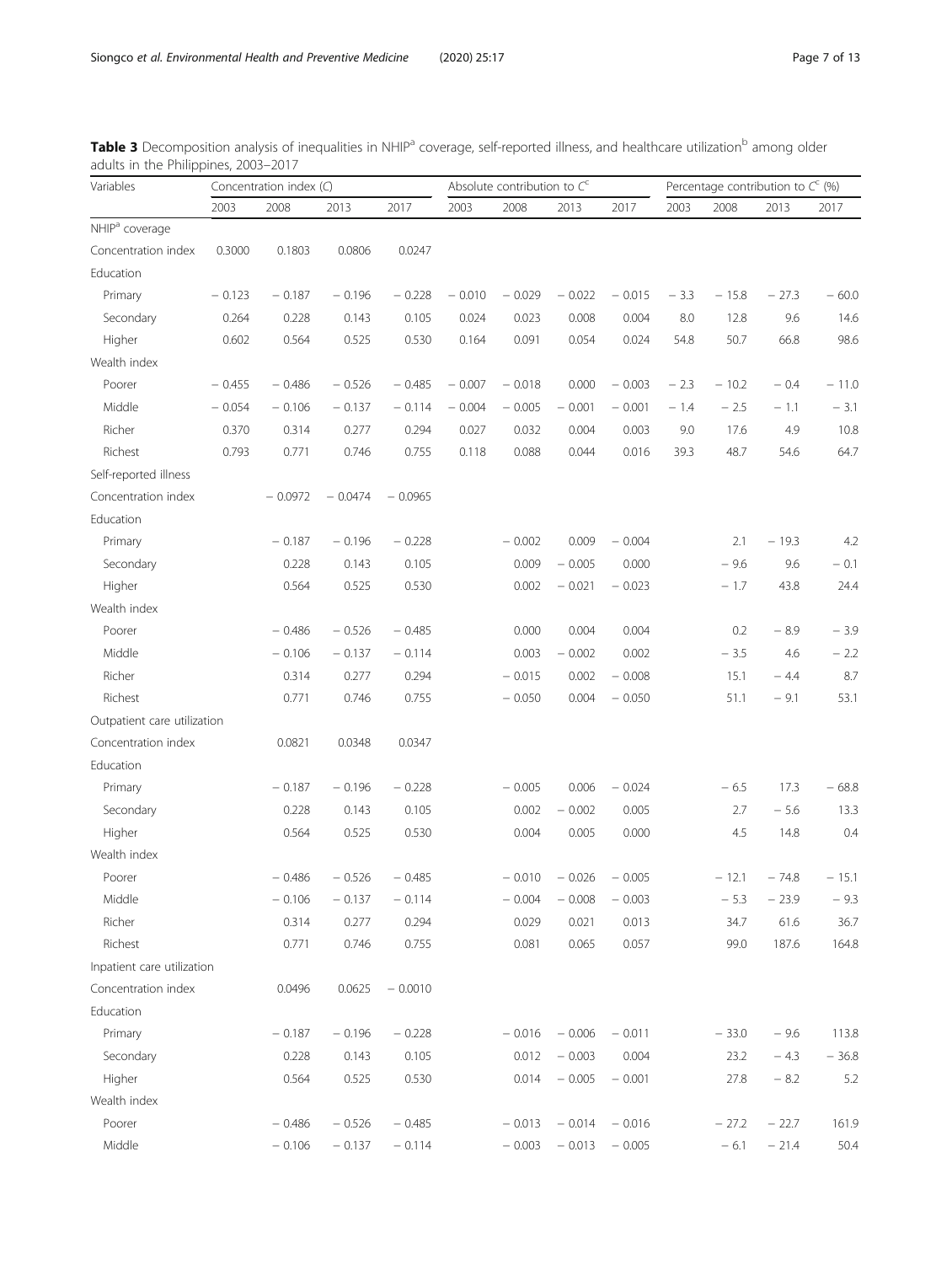| Variables                   |          | Concentration index (C) |           |           |          | Absolute contribution to $C^c$ |          |          |        | Percentage contribution to $C^c$ (%) |         |         |
|-----------------------------|----------|-------------------------|-----------|-----------|----------|--------------------------------|----------|----------|--------|--------------------------------------|---------|---------|
|                             | 2003     | 2008                    | 2013      | 2017      | 2003     | 2008                           | 2013     | 2017     | 2003   | 2008                                 | 2013    | 2017    |
| NHIP <sup>a</sup> coverage  |          |                         |           |           |          |                                |          |          |        |                                      |         |         |
| Concentration index         | 0.3000   | 0.1803                  | 0.0806    | 0.0247    |          |                                |          |          |        |                                      |         |         |
| Education                   |          |                         |           |           |          |                                |          |          |        |                                      |         |         |
| Primary                     | $-0.123$ | $-0.187$                | $-0.196$  | $-0.228$  | $-0.010$ | $-0.029$                       | $-0.022$ | $-0.015$ | $-3.3$ | $-15.8$                              | $-27.3$ | $-60.0$ |
| Secondary                   | 0.264    | 0.228                   | 0.143     | 0.105     | 0.024    | 0.023                          | 0.008    | 0.004    | 8.0    | 12.8                                 | 9.6     | 14.6    |
| Higher                      | 0.602    | 0.564                   | 0.525     | 0.530     | 0.164    | 0.091                          | 0.054    | 0.024    | 54.8   | 50.7                                 | 66.8    | 98.6    |
| Wealth index                |          |                         |           |           |          |                                |          |          |        |                                      |         |         |
| Poorer                      | $-0.455$ | $-0.486$                | $-0.526$  | $-0.485$  | $-0.007$ | $-0.018$                       | 0.000    | $-0.003$ | $-2.3$ | $-10.2$                              | $-0.4$  | $-11.0$ |
| Middle                      | $-0.054$ | $-0.106$                | $-0.137$  | $-0.114$  | $-0.004$ | $-0.005$                       | $-0.001$ | $-0.001$ | $-1.4$ | $-2.5$                               | $-1.1$  | $-3.1$  |
| Richer                      | 0.370    | 0.314                   | 0.277     | 0.294     | 0.027    | 0.032                          | 0.004    | 0.003    | 9.0    | 17.6                                 | 4.9     | 10.8    |
| Richest                     | 0.793    | 0.771                   | 0.746     | 0.755     | 0.118    | 0.088                          | 0.044    | 0.016    | 39.3   | 48.7                                 | 54.6    | 64.7    |
| Self-reported illness       |          |                         |           |           |          |                                |          |          |        |                                      |         |         |
| Concentration index         |          | $-0.0972$               | $-0.0474$ | $-0.0965$ |          |                                |          |          |        |                                      |         |         |
| Education                   |          |                         |           |           |          |                                |          |          |        |                                      |         |         |
| Primary                     |          | $-0.187$                | $-0.196$  | $-0.228$  |          | $-0.002$                       | 0.009    | $-0.004$ |        | 2.1                                  | $-19.3$ | 4.2     |
| Secondary                   |          | 0.228                   | 0.143     | 0.105     |          | 0.009                          | $-0.005$ | 0.000    |        | $-9.6$                               | 9.6     | $-0.1$  |
| Higher                      |          | 0.564                   | 0.525     | 0.530     |          | 0.002                          | $-0.021$ | $-0.023$ |        | $-1.7$                               | 43.8    | 24.4    |
| Wealth index                |          |                         |           |           |          |                                |          |          |        |                                      |         |         |
| Poorer                      |          | $-0.486$                | $-0.526$  | $-0.485$  |          | 0.000                          | 0.004    | 0.004    |        | 0.2                                  | $-8.9$  | $-3.9$  |
| Middle                      |          | $-0.106$                | $-0.137$  | $-0.114$  |          | 0.003                          | $-0.002$ | 0.002    |        | $-3.5$                               | 4.6     | $-2.2$  |
| Richer                      |          | 0.314                   | 0.277     | 0.294     |          | $-0.015$                       | 0.002    | $-0.008$ |        | 15.1                                 | $-4.4$  | 8.7     |
| Richest                     |          | 0.771                   | 0.746     | 0.755     |          | $-0.050$                       | 0.004    | $-0.050$ |        | 51.1                                 | $-9.1$  | 53.1    |
| Outpatient care utilization |          |                         |           |           |          |                                |          |          |        |                                      |         |         |
| Concentration index         |          | 0.0821                  | 0.0348    | 0.0347    |          |                                |          |          |        |                                      |         |         |
| Education                   |          |                         |           |           |          |                                |          |          |        |                                      |         |         |
| Primary                     |          | $-0.187$                | $-0.196$  | $-0.228$  |          | $-0.005$                       | 0.006    | $-0.024$ |        | $-6.5$                               | 17.3    | $-68.8$ |
| Secondary                   |          | 0.228                   | 0.143     | 0.105     |          | 0.002                          | $-0.002$ | 0.005    |        | 2.7                                  | $-5.6$  | 13.3    |
| Higher                      |          | 0.564                   | 0.525     | 0.530     |          | 0.004                          | 0.005    | 0.000    |        | 4.5                                  | 14.8    | 0.4     |
| Wealth index                |          |                         |           |           |          |                                |          |          |        |                                      |         |         |
| Poorer                      |          | $-0.486$                | $-0.526$  | $-0.485$  |          | $-0.010$                       | $-0.026$ | $-0.005$ |        | $-12.1$                              | $-74.8$ | $-15.1$ |
| Middle                      |          | $-0.106$                | $-0.137$  | $-0.114$  |          | $-0.004$                       | $-0.008$ | $-0.003$ |        | $-5.3$                               | $-23.9$ | $-9.3$  |
| Richer                      |          | 0.314                   | 0.277     | 0.294     |          | 0.029                          | 0.021    | 0.013    |        | 34.7                                 | 61.6    | 36.7    |
| Richest                     |          | 0.771                   | 0.746     | 0.755     |          | 0.081                          | 0.065    | 0.057    |        | 99.0                                 | 187.6   | 164.8   |
| Inpatient care utilization  |          |                         |           |           |          |                                |          |          |        |                                      |         |         |
| Concentration index         |          | 0.0496                  | 0.0625    | $-0.0010$ |          |                                |          |          |        |                                      |         |         |
| Education                   |          |                         |           |           |          |                                |          |          |        |                                      |         |         |
| Primary                     |          | $-0.187$                | $-0.196$  | $-0.228$  |          | $-0.016$                       | $-0.006$ | $-0.011$ |        | $-33.0$                              | $-9.6$  | 113.8   |
| Secondary                   |          | 0.228                   | 0.143     | 0.105     |          | 0.012                          | $-0.003$ | 0.004    |        | 23.2                                 | $-4.3$  | $-36.8$ |
| Higher                      |          | 0.564                   | 0.525     | 0.530     |          | 0.014                          | $-0.005$ | $-0.001$ |        | 27.8                                 | $-8.2$  | 5.2     |
| Wealth index                |          |                         |           |           |          |                                |          |          |        |                                      |         |         |
| Poorer                      |          | $-0.486$                | $-0.526$  | $-0.485$  |          | $-0.013$                       | $-0.014$ | $-0.016$ |        | $-27.2$                              | $-22.7$ | 161.9   |
| Middle                      |          | $-0.106$                | $-0.137$  | $-0.114$  |          | $-0.003$                       | $-0.013$ | $-0.005$ |        | $-6.1$                               | $-21.4$ | 50.4    |

<span id="page-6-0"></span>Table 3 Decomposition analysis of inequalities in NHIP<sup>a</sup> coverage, self-reported illness, and healthcare utilization<sup>b</sup> among older adults in the Philippines, 2003–2017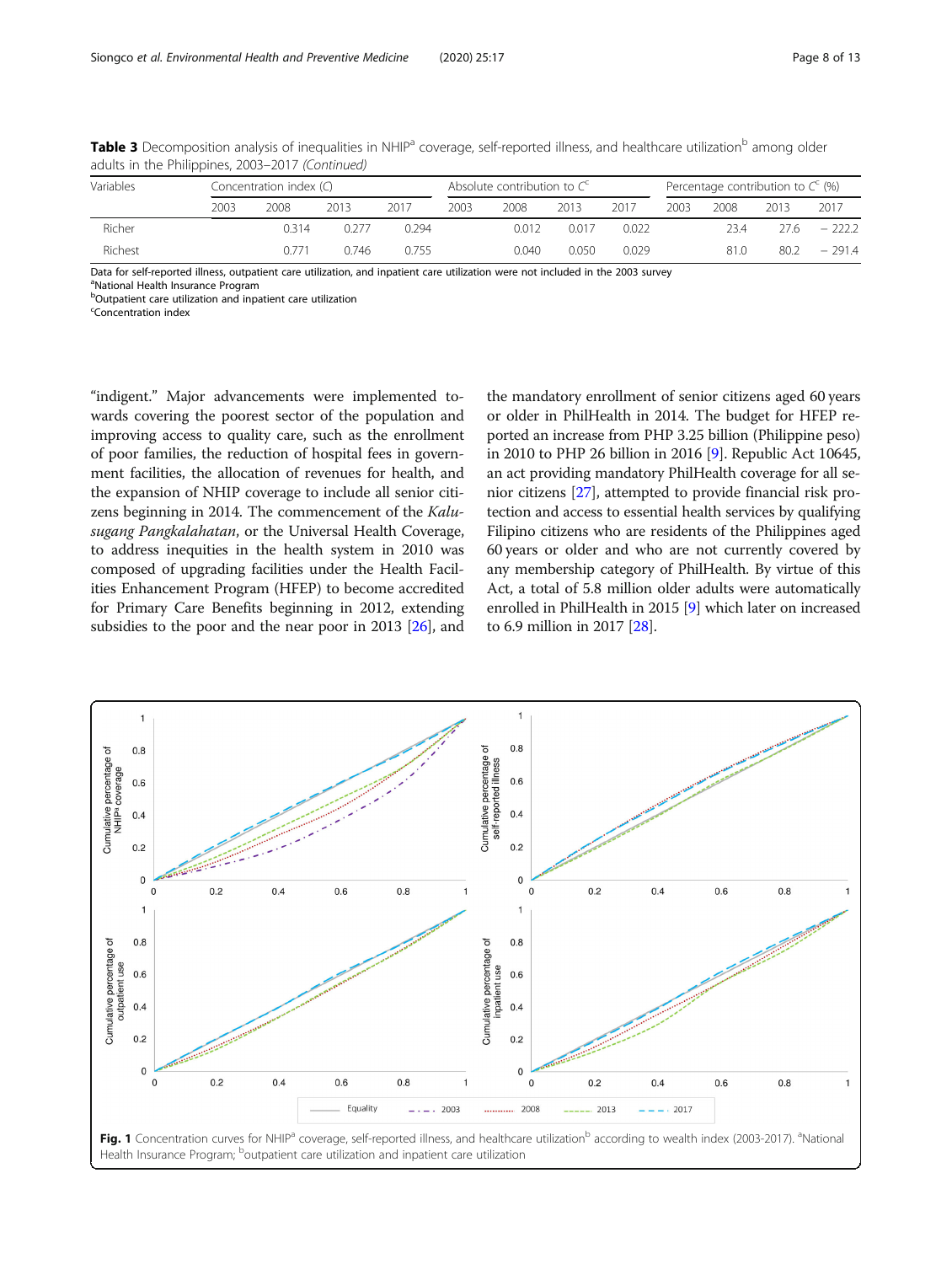| Variables |      | Concentration index $(\bigcirc)$ |       |       |      | Absolute contribution to $C^c$ |       |       |      | Percentage contribution to $C^c$ (%) |      |          |
|-----------|------|----------------------------------|-------|-------|------|--------------------------------|-------|-------|------|--------------------------------------|------|----------|
|           | 2003 | 2008                             | 2013  | 2017  | 2003 | 2008                           | 2013  | 2017  | 2003 | 2008                                 | 2013 | 2017     |
| Richer    |      | 0314                             | 0.277 | 0.294 |      | 0.012                          | 0.017 | 0.022 |      | 23.4                                 | 27.6 | $-222.2$ |
| Richest   |      | 0771                             | 0.746 | 0755  |      | 0.040                          | 0.050 | 0.029 |      | 81.0                                 | 80.2 | $-291.4$ |

<span id="page-7-0"></span>Table 3 Decomposition analysis of inequalities in NHIP<sup>a</sup> coverage, self-reported illness, and healthcare utilization<sup>b</sup> among older adults in the Philippines, 2003–2017 (Continued)

Data for self-reported illness, outpatient care utilization, and inpatient care utilization were not included in the 2003 survey

<sup>a</sup>National Health Insurance Program

<sup>b</sup>Outpatient care utilization and inpatient care utilization

<sup>c</sup>Concentration index

"indigent." Major advancements were implemented towards covering the poorest sector of the population and improving access to quality care, such as the enrollment of poor families, the reduction of hospital fees in government facilities, the allocation of revenues for health, and the expansion of NHIP coverage to include all senior citizens beginning in 2014. The commencement of the Kalusugang Pangkalahatan, or the Universal Health Coverage, to address inequities in the health system in 2010 was composed of upgrading facilities under the Health Facilities Enhancement Program (HFEP) to become accredited for Primary Care Benefits beginning in 2012, extending subsidies to the poor and the near poor in 2013 [[26](#page-12-0)], and

the mandatory enrollment of senior citizens aged 60 years or older in PhilHealth in 2014. The budget for HFEP reported an increase from PHP 3.25 billion (Philippine peso) in 2010 to PHP 26 billion in 2016 [\[9\]](#page-11-0). Republic Act 10645, an act providing mandatory PhilHealth coverage for all senior citizens [\[27](#page-12-0)], attempted to provide financial risk protection and access to essential health services by qualifying Filipino citizens who are residents of the Philippines aged 60 years or older and who are not currently covered by any membership category of PhilHealth. By virtue of this Act, a total of 5.8 million older adults were automatically enrolled in PhilHealth in 2015 [[9\]](#page-11-0) which later on increased to 6.9 million in 2017 [\[28\]](#page-12-0).

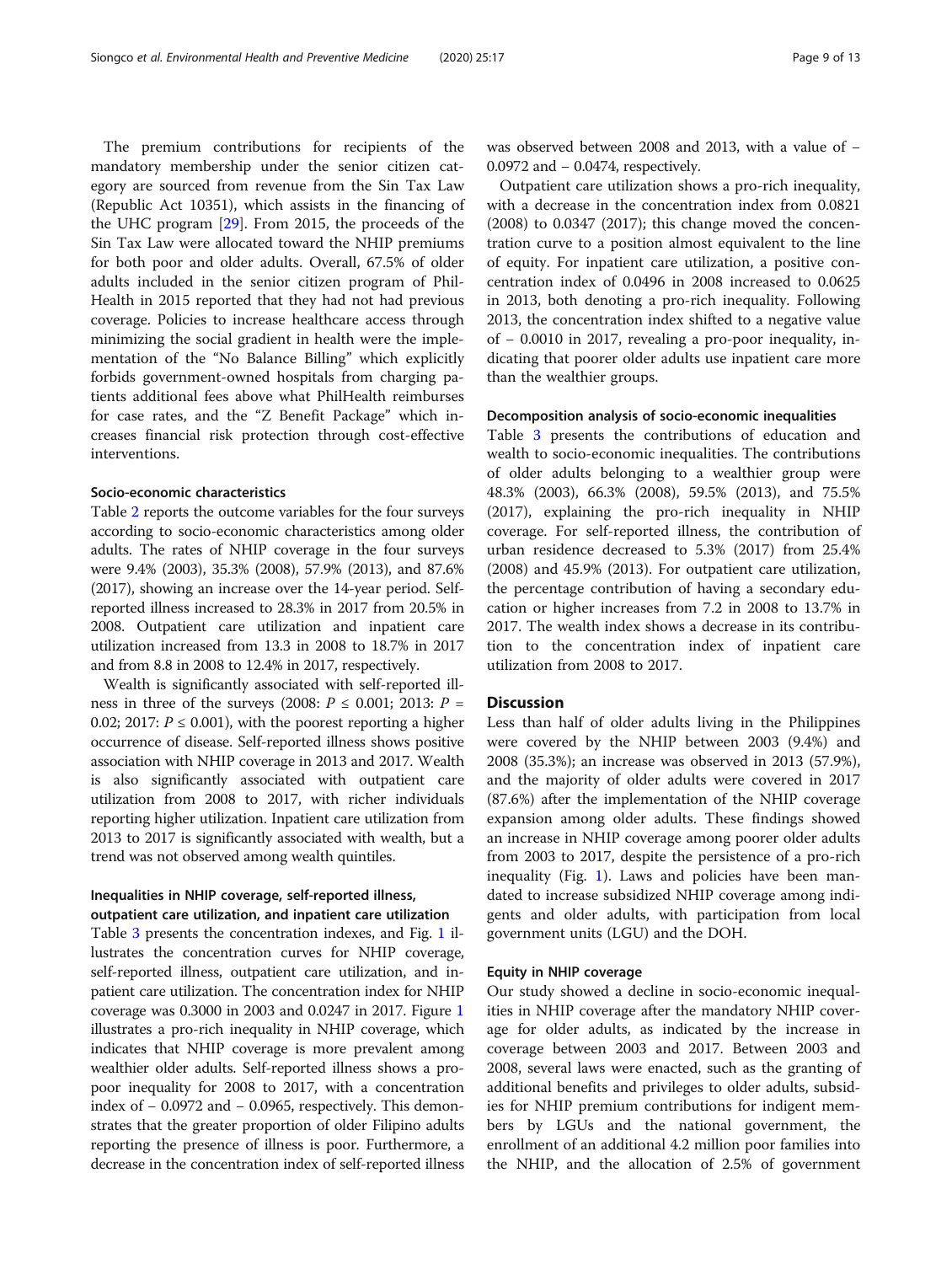The premium contributions for recipients of the mandatory membership under the senior citizen category are sourced from revenue from the Sin Tax Law (Republic Act 10351), which assists in the financing of the UHC program [[29\]](#page-12-0). From 2015, the proceeds of the Sin Tax Law were allocated toward the NHIP premiums for both poor and older adults. Overall, 67.5% of older adults included in the senior citizen program of Phil-Health in 2015 reported that they had not had previous coverage. Policies to increase healthcare access through minimizing the social gradient in health were the implementation of the "No Balance Billing" which explicitly forbids government-owned hospitals from charging patients additional fees above what PhilHealth reimburses for case rates, and the "Z Benefit Package" which increases financial risk protection through cost-effective interventions.

# Socio-economic characteristics

Table [2](#page-4-0) reports the outcome variables for the four surveys according to socio-economic characteristics among older adults. The rates of NHIP coverage in the four surveys were 9.4% (2003), 35.3% (2008), 57.9% (2013), and 87.6% (2017), showing an increase over the 14-year period. Selfreported illness increased to 28.3% in 2017 from 20.5% in 2008. Outpatient care utilization and inpatient care utilization increased from 13.3 in 2008 to 18.7% in 2017 and from 8.8 in 2008 to 12.4% in 2017, respectively.

Wealth is significantly associated with self-reported illness in three of the surveys (2008:  $P \le 0.001$ ; 2013:  $P =$ 0.02; 2017:  $P \le 0.001$ ), with the poorest reporting a higher occurrence of disease. Self-reported illness shows positive association with NHIP coverage in 2013 and 2017. Wealth is also significantly associated with outpatient care utilization from 2008 to 2017, with richer individuals reporting higher utilization. Inpatient care utilization from 2013 to 2017 is significantly associated with wealth, but a trend was not observed among wealth quintiles.

# Inequalities in NHIP coverage, self-reported illness, outpatient care utilization, and inpatient care utilization

Table [3](#page-6-0) presents the concentration indexes, and Fig. [1](#page-7-0) illustrates the concentration curves for NHIP coverage, self-reported illness, outpatient care utilization, and inpatient care utilization. The concentration index for NHIP coverage was 0.3000 in 2003 and 0.0247 in 2017. Figure [1](#page-7-0) illustrates a pro-rich inequality in NHIP coverage, which indicates that NHIP coverage is more prevalent among wealthier older adults. Self-reported illness shows a propoor inequality for 2008 to 2017, with a concentration index of − 0.0972 and − 0.0965, respectively. This demonstrates that the greater proportion of older Filipino adults reporting the presence of illness is poor. Furthermore, a decrease in the concentration index of self-reported illness was observed between 2008 and 2013, with a value of − 0.0972 and − 0.0474, respectively.

Outpatient care utilization shows a pro-rich inequality, with a decrease in the concentration index from 0.0821 (2008) to 0.0347 (2017); this change moved the concentration curve to a position almost equivalent to the line of equity. For inpatient care utilization, a positive concentration index of 0.0496 in 2008 increased to 0.0625 in 2013, both denoting a pro-rich inequality. Following 2013, the concentration index shifted to a negative value of − 0.0010 in 2017, revealing a pro-poor inequality, indicating that poorer older adults use inpatient care more than the wealthier groups.

# Decomposition analysis of socio-economic inequalities

Table [3](#page-6-0) presents the contributions of education and wealth to socio-economic inequalities. The contributions of older adults belonging to a wealthier group were 48.3% (2003), 66.3% (2008), 59.5% (2013), and 75.5% (2017), explaining the pro-rich inequality in NHIP coverage. For self-reported illness, the contribution of urban residence decreased to 5.3% (2017) from 25.4% (2008) and 45.9% (2013). For outpatient care utilization, the percentage contribution of having a secondary education or higher increases from 7.2 in 2008 to 13.7% in 2017. The wealth index shows a decrease in its contribution to the concentration index of inpatient care utilization from 2008 to 2017.

# **Discussion**

Less than half of older adults living in the Philippines were covered by the NHIP between 2003 (9.4%) and 2008 (35.3%); an increase was observed in 2013 (57.9%), and the majority of older adults were covered in 2017 (87.6%) after the implementation of the NHIP coverage expansion among older adults. These findings showed an increase in NHIP coverage among poorer older adults from 2003 to 2017, despite the persistence of a pro-rich inequality (Fig. [1](#page-7-0)). Laws and policies have been mandated to increase subsidized NHIP coverage among indigents and older adults, with participation from local government units (LGU) and the DOH.

# Equity in NHIP coverage

Our study showed a decline in socio-economic inequalities in NHIP coverage after the mandatory NHIP coverage for older adults, as indicated by the increase in coverage between 2003 and 2017. Between 2003 and 2008, several laws were enacted, such as the granting of additional benefits and privileges to older adults, subsidies for NHIP premium contributions for indigent members by LGUs and the national government, the enrollment of an additional 4.2 million poor families into the NHIP, and the allocation of 2.5% of government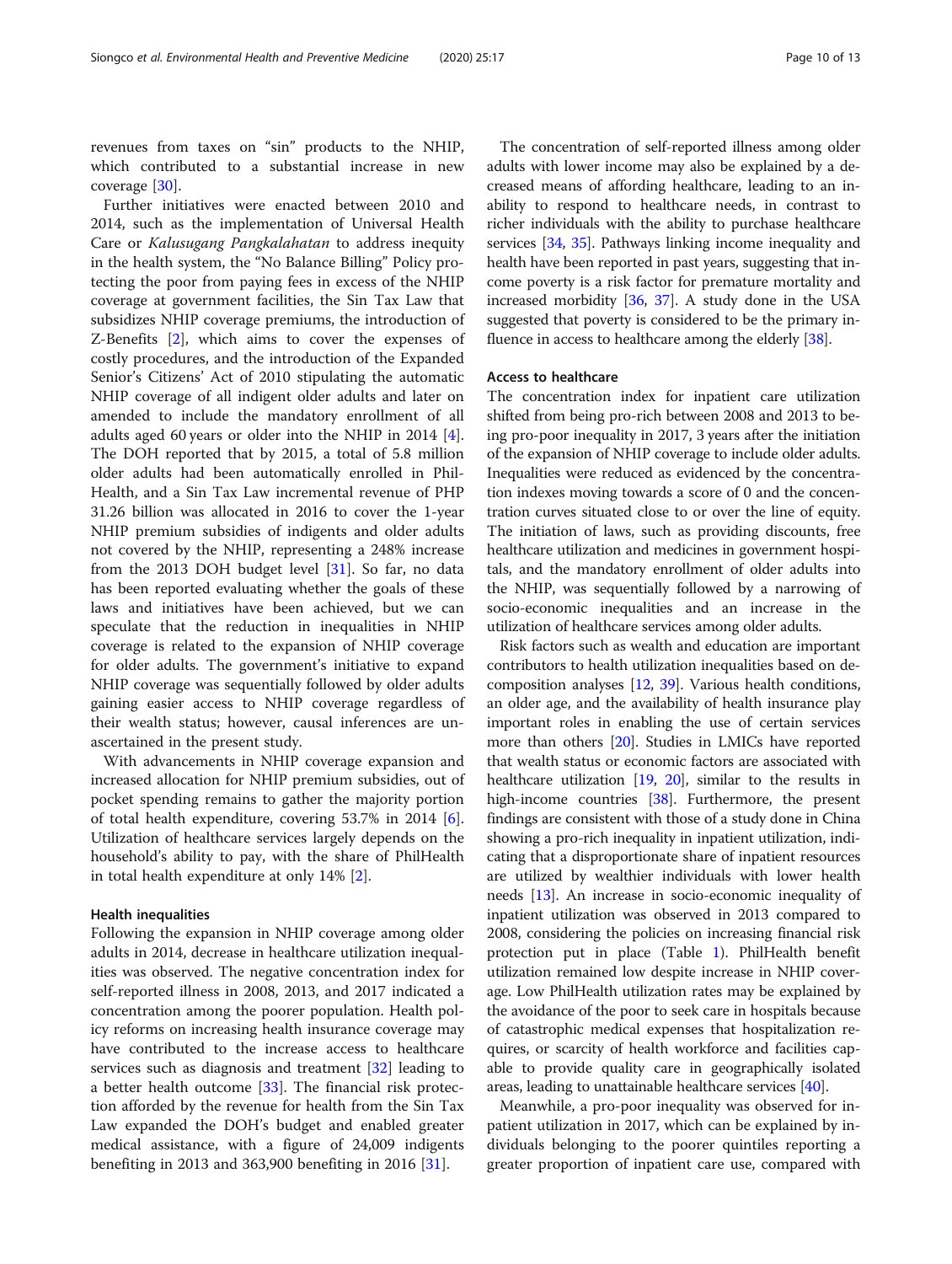revenues from taxes on "sin" products to the NHIP, which contributed to a substantial increase in new coverage [\[30](#page-12-0)].

Further initiatives were enacted between 2010 and 2014, such as the implementation of Universal Health Care or Kalusugang Pangkalahatan to address inequity in the health system, the "No Balance Billing" Policy protecting the poor from paying fees in excess of the NHIP coverage at government facilities, the Sin Tax Law that subsidizes NHIP coverage premiums, the introduction of Z-Benefits [[2\]](#page-11-0), which aims to cover the expenses of costly procedures, and the introduction of the Expanded Senior's Citizens' Act of 2010 stipulating the automatic NHIP coverage of all indigent older adults and later on amended to include the mandatory enrollment of all adults aged 60 years or older into the NHIP in 2014 [\[4](#page-11-0)]. The DOH reported that by 2015, a total of 5.8 million older adults had been automatically enrolled in Phil-Health, and a Sin Tax Law incremental revenue of PHP 31.26 billion was allocated in 2016 to cover the 1-year NHIP premium subsidies of indigents and older adults not covered by the NHIP, representing a 248% increase from the 2013 DOH budget level [\[31\]](#page-12-0). So far, no data has been reported evaluating whether the goals of these laws and initiatives have been achieved, but we can speculate that the reduction in inequalities in NHIP coverage is related to the expansion of NHIP coverage for older adults. The government's initiative to expand NHIP coverage was sequentially followed by older adults gaining easier access to NHIP coverage regardless of their wealth status; however, causal inferences are unascertained in the present study.

With advancements in NHIP coverage expansion and increased allocation for NHIP premium subsidies, out of pocket spending remains to gather the majority portion of total health expenditure, covering 53.7% in 2014 [\[6](#page-11-0)]. Utilization of healthcare services largely depends on the household's ability to pay, with the share of PhilHealth in total health expenditure at only 14% [\[2](#page-11-0)].

### Health inequalities

Following the expansion in NHIP coverage among older adults in 2014, decrease in healthcare utilization inequalities was observed. The negative concentration index for self-reported illness in 2008, 2013, and 2017 indicated a concentration among the poorer population. Health policy reforms on increasing health insurance coverage may have contributed to the increase access to healthcare services such as diagnosis and treatment [[32\]](#page-12-0) leading to a better health outcome [[33](#page-12-0)]. The financial risk protection afforded by the revenue for health from the Sin Tax Law expanded the DOH's budget and enabled greater medical assistance, with a figure of 24,009 indigents benefiting in 2013 and 363,900 benefiting in 2016 [\[31](#page-12-0)].

The concentration of self-reported illness among older adults with lower income may also be explained by a decreased means of affording healthcare, leading to an inability to respond to healthcare needs, in contrast to richer individuals with the ability to purchase healthcare services [\[34,](#page-12-0) [35](#page-12-0)]. Pathways linking income inequality and health have been reported in past years, suggesting that income poverty is a risk factor for premature mortality and increased morbidity [\[36,](#page-12-0) [37](#page-12-0)]. A study done in the USA suggested that poverty is considered to be the primary influence in access to healthcare among the elderly [[38\]](#page-12-0).

# Access to healthcare

The concentration index for inpatient care utilization shifted from being pro-rich between 2008 and 2013 to being pro-poor inequality in 2017, 3 years after the initiation of the expansion of NHIP coverage to include older adults. Inequalities were reduced as evidenced by the concentration indexes moving towards a score of 0 and the concentration curves situated close to or over the line of equity. The initiation of laws, such as providing discounts, free healthcare utilization and medicines in government hospitals, and the mandatory enrollment of older adults into the NHIP, was sequentially followed by a narrowing of socio-economic inequalities and an increase in the utilization of healthcare services among older adults.

Risk factors such as wealth and education are important contributors to health utilization inequalities based on decomposition analyses [\[12](#page-11-0), [39\]](#page-12-0). Various health conditions, an older age, and the availability of health insurance play important roles in enabling the use of certain services more than others [[20](#page-11-0)]. Studies in LMICs have reported that wealth status or economic factors are associated with healthcare utilization [\[19](#page-11-0), [20\]](#page-11-0), similar to the results in high-income countries [[38](#page-12-0)]. Furthermore, the present findings are consistent with those of a study done in China showing a pro-rich inequality in inpatient utilization, indicating that a disproportionate share of inpatient resources are utilized by wealthier individuals with lower health needs [\[13\]](#page-11-0). An increase in socio-economic inequality of inpatient utilization was observed in 2013 compared to 2008, considering the policies on increasing financial risk protection put in place (Table [1\)](#page-2-0). PhilHealth benefit utilization remained low despite increase in NHIP coverage. Low PhilHealth utilization rates may be explained by the avoidance of the poor to seek care in hospitals because of catastrophic medical expenses that hospitalization requires, or scarcity of health workforce and facilities capable to provide quality care in geographically isolated areas, leading to unattainable healthcare services [[40](#page-12-0)].

Meanwhile, a pro-poor inequality was observed for inpatient utilization in 2017, which can be explained by individuals belonging to the poorer quintiles reporting a greater proportion of inpatient care use, compared with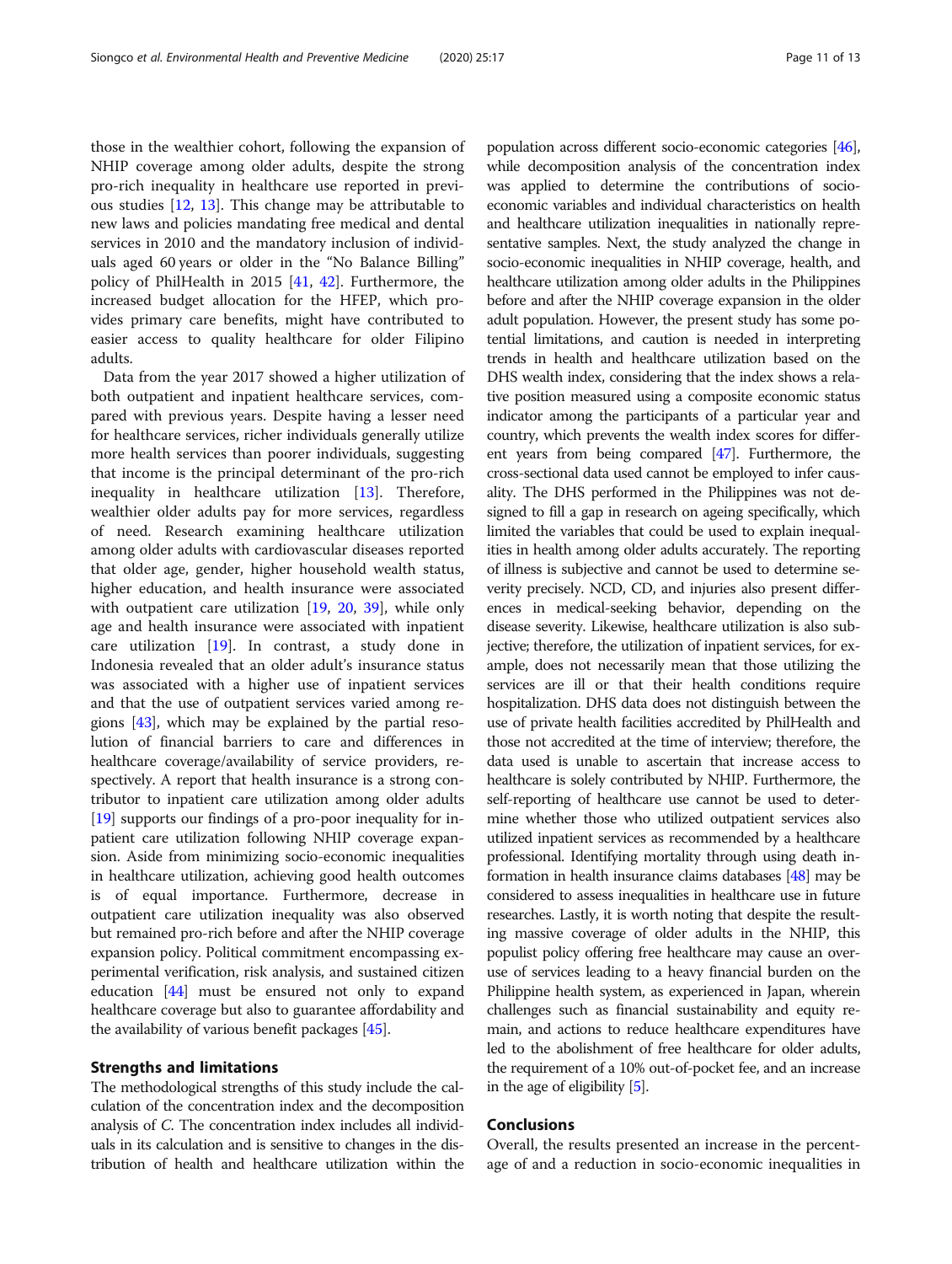those in the wealthier cohort, following the expansion of NHIP coverage among older adults, despite the strong pro-rich inequality in healthcare use reported in previous studies [[12](#page-11-0), [13\]](#page-11-0). This change may be attributable to new laws and policies mandating free medical and dental services in 2010 and the mandatory inclusion of individuals aged 60 years or older in the "No Balance Billing" policy of PhilHealth in 2015 [[41,](#page-12-0) [42\]](#page-12-0). Furthermore, the increased budget allocation for the HFEP, which provides primary care benefits, might have contributed to easier access to quality healthcare for older Filipino adults.

Data from the year 2017 showed a higher utilization of both outpatient and inpatient healthcare services, compared with previous years. Despite having a lesser need for healthcare services, richer individuals generally utilize more health services than poorer individuals, suggesting that income is the principal determinant of the pro-rich inequality in healthcare utilization [[13](#page-11-0)]. Therefore, wealthier older adults pay for more services, regardless of need. Research examining healthcare utilization among older adults with cardiovascular diseases reported that older age, gender, higher household wealth status, higher education, and health insurance were associated with outpatient care utilization [[19,](#page-11-0) [20](#page-11-0), [39](#page-12-0)], while only age and health insurance were associated with inpatient care utilization [[19](#page-11-0)]. In contrast, a study done in Indonesia revealed that an older adult's insurance status was associated with a higher use of inpatient services and that the use of outpatient services varied among regions [\[43\]](#page-12-0), which may be explained by the partial resolution of financial barriers to care and differences in healthcare coverage/availability of service providers, respectively. A report that health insurance is a strong contributor to inpatient care utilization among older adults [[19](#page-11-0)] supports our findings of a pro-poor inequality for inpatient care utilization following NHIP coverage expansion. Aside from minimizing socio-economic inequalities in healthcare utilization, achieving good health outcomes is of equal importance. Furthermore, decrease in outpatient care utilization inequality was also observed but remained pro-rich before and after the NHIP coverage expansion policy. Political commitment encompassing experimental verification, risk analysis, and sustained citizen education [\[44\]](#page-12-0) must be ensured not only to expand healthcare coverage but also to guarantee affordability and the availability of various benefit packages [[45](#page-12-0)].

# Strengths and limitations

The methodological strengths of this study include the calculation of the concentration index and the decomposition analysis of C. The concentration index includes all individuals in its calculation and is sensitive to changes in the distribution of health and healthcare utilization within the population across different socio-economic categories [\[46](#page-12-0)], while decomposition analysis of the concentration index was applied to determine the contributions of socioeconomic variables and individual characteristics on health and healthcare utilization inequalities in nationally representative samples. Next, the study analyzed the change in socio-economic inequalities in NHIP coverage, health, and healthcare utilization among older adults in the Philippines before and after the NHIP coverage expansion in the older adult population. However, the present study has some potential limitations, and caution is needed in interpreting trends in health and healthcare utilization based on the DHS wealth index, considering that the index shows a relative position measured using a composite economic status indicator among the participants of a particular year and country, which prevents the wealth index scores for different years from being compared [\[47\]](#page-12-0). Furthermore, the cross-sectional data used cannot be employed to infer causality. The DHS performed in the Philippines was not designed to fill a gap in research on ageing specifically, which limited the variables that could be used to explain inequalities in health among older adults accurately. The reporting of illness is subjective and cannot be used to determine severity precisely. NCD, CD, and injuries also present differences in medical-seeking behavior, depending on the disease severity. Likewise, healthcare utilization is also subjective; therefore, the utilization of inpatient services, for example, does not necessarily mean that those utilizing the services are ill or that their health conditions require hospitalization. DHS data does not distinguish between the use of private health facilities accredited by PhilHealth and those not accredited at the time of interview; therefore, the data used is unable to ascertain that increase access to healthcare is solely contributed by NHIP. Furthermore, the self-reporting of healthcare use cannot be used to determine whether those who utilized outpatient services also utilized inpatient services as recommended by a healthcare professional. Identifying mortality through using death information in health insurance claims databases [[48](#page-12-0)] may be considered to assess inequalities in healthcare use in future researches. Lastly, it is worth noting that despite the resulting massive coverage of older adults in the NHIP, this populist policy offering free healthcare may cause an overuse of services leading to a heavy financial burden on the Philippine health system, as experienced in Japan, wherein challenges such as financial sustainability and equity remain, and actions to reduce healthcare expenditures have led to the abolishment of free healthcare for older adults, the requirement of a 10% out-of-pocket fee, and an increase in the age of eligibility [\[5](#page-11-0)].

# Conclusions

Overall, the results presented an increase in the percentage of and a reduction in socio-economic inequalities in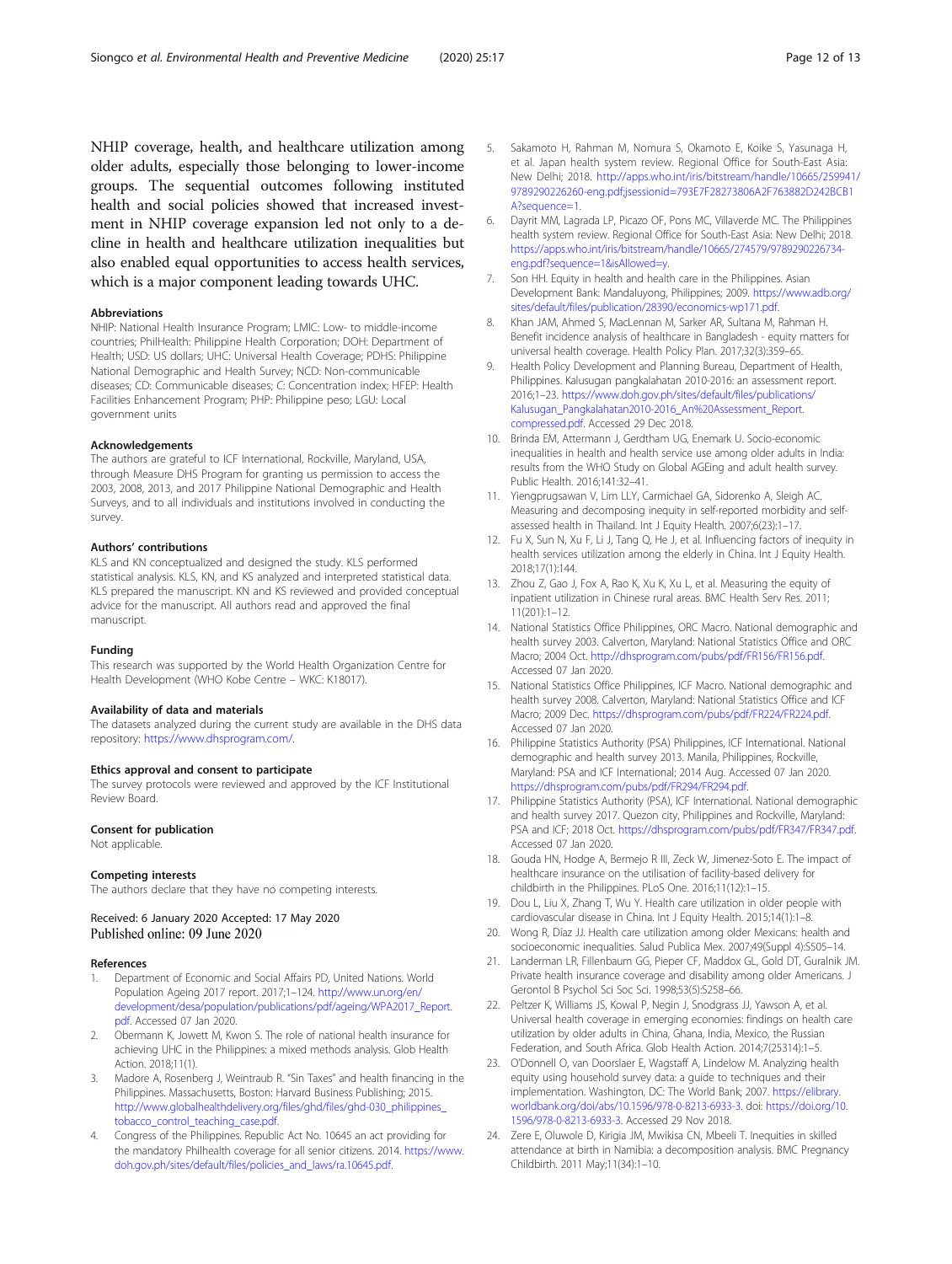<span id="page-11-0"></span>NHIP coverage, health, and healthcare utilization among older adults, especially those belonging to lower-income groups. The sequential outcomes following instituted health and social policies showed that increased investment in NHIP coverage expansion led not only to a decline in health and healthcare utilization inequalities but also enabled equal opportunities to access health services, which is a major component leading towards UHC.

#### Abbreviations

NHIP: National Health Insurance Program; LMIC: Low- to middle-income countries; PhilHealth: Philippine Health Corporation; DOH: Department of Health; USD: US dollars; UHC: Universal Health Coverage; PDHS: Philippine National Demographic and Health Survey; NCD: Non-communicable diseases; CD: Communicable diseases; C: Concentration index; HFEP: Health Facilities Enhancement Program; PHP: Philippine peso; LGU: Local government units

#### Acknowledgements

The authors are grateful to ICF International, Rockville, Maryland, USA, through Measure DHS Program for granting us permission to access the 2003, 2008, 2013, and 2017 Philippine National Demographic and Health Surveys, and to all individuals and institutions involved in conducting the survey.

# Authors' contributions

KLS and KN conceptualized and designed the study. KLS performed statistical analysis. KLS, KN, and KS analyzed and interpreted statistical data. KLS prepared the manuscript. KN and KS reviewed and provided conceptual advice for the manuscript. All authors read and approved the final manuscript.

#### Funding

This research was supported by the World Health Organization Centre for Health Development (WHO Kobe Centre – WKC: K18017).

#### Availability of data and materials

The datasets analyzed during the current study are available in the DHS data repository: <https://www.dhsprogram.com/>.

#### Ethics approval and consent to participate

The survey protocols were reviewed and approved by the ICF Institutional Review Board.

#### Consent for publication

Not applicable.

#### Competing interests

The authors declare that they have no competing interests.

# Received: 6 January 2020 Accepted: 17 May 2020 Published online: 09 June 2020

#### References

- 1. Department of Economic and Social Affairs PD, United Nations. World Population Ageing 2017 report. 2017;1–124. [http://www.un.org/en/](http://www.un.org/en/development/desa/population/publications/pdf/ageing/WPA2017_Report.pdf) [development/desa/population/publications/pdf/ageing/WPA2017\\_Report.](http://www.un.org/en/development/desa/population/publications/pdf/ageing/WPA2017_Report.pdf) [pdf](http://www.un.org/en/development/desa/population/publications/pdf/ageing/WPA2017_Report.pdf). Accessed 07 Jan 2020.
- 2. Obermann K, Jowett M, Kwon S. The role of national health insurance for achieving UHC in the Philippines: a mixed methods analysis. Glob Health Action. 2018;11(1).
- 3. Madore A, Rosenberg J, Weintraub R. "Sin Taxes" and health financing in the Philippines. Massachusetts, Boston: Harvard Business Publishing; 2015. [http://www.globalhealthdelivery.org/files/ghd/files/ghd-030\\_philippines\\_](http://www.globalhealthdelivery.org/files/ghd/files/ghd-030_philippines_tobacco_control_teaching_case.pdf) [tobacco\\_control\\_teaching\\_case.pdf](http://www.globalhealthdelivery.org/files/ghd/files/ghd-030_philippines_tobacco_control_teaching_case.pdf).
- 4. Congress of the Philippines. Republic Act No. 10645 an act providing for the mandatory Philhealth coverage for all senior citizens. 2014. [https://www.](https://www.doh.gov.ph/sites/default/files/policies_and_laws/RA10351.pdf) [doh.gov.ph/sites/default/files/policies\\_and\\_laws/ra.10645.pdf.](https://www.doh.gov.ph/sites/default/files/policies_and_laws/RA10351.pdf)
- 5. Sakamoto H, Rahman M, Nomura S, Okamoto E, Koike S, Yasunaga H, et al. Japan health system review. Regional Office for South-East Asia: New Delhi; 2018. [http://apps.who.int/iris/bitstream/handle/10665/259941/](http://apps.who.int/iris/bitstream/handle/10665/259941/9789290226260-eng.pdf;jsessionid=793E7F28273806A2F763882D242BCB1A?sequence=1) [9789290226260-eng.pdf;jsessionid=793E7F28273806A2F763882D242BCB1](http://apps.who.int/iris/bitstream/handle/10665/259941/9789290226260-eng.pdf;jsessionid=793E7F28273806A2F763882D242BCB1A?sequence=1) [A?sequence=1.](http://apps.who.int/iris/bitstream/handle/10665/259941/9789290226260-eng.pdf;jsessionid=793E7F28273806A2F763882D242BCB1A?sequence=1)
- 6. Dayrit MM, Lagrada LP, Picazo OF, Pons MC, Villaverde MC. The Philippines health system review. Regional Office for South-East Asia: New Delhi; 2018. [https://apps.who.int/iris/bitstream/handle/10665/274579/9789290226734](https://apps.who.int/iris/bitstream/handle/10665/274579/9789290226734-eng.pdf?sequence=1&isAllowed=y) [eng.pdf?sequence=1&isAllowed=y.](https://apps.who.int/iris/bitstream/handle/10665/274579/9789290226734-eng.pdf?sequence=1&isAllowed=y)
- 7. Son HH. Equity in health and health care in the Philippines. Asian Development Bank: Mandaluyong, Philippines; 2009. [https://www.adb.org/](https://www.adb.org/sites/default/files/publication/28390/economics-wp171.pdf) [sites/default/files/publication/28390/economics-wp171.pdf.](https://www.adb.org/sites/default/files/publication/28390/economics-wp171.pdf)
- 8. Khan JAM, Ahmed S, MacLennan M, Sarker AR, Sultana M, Rahman H. Benefit incidence analysis of healthcare in Bangladesh - equity matters for universal health coverage. Health Policy Plan. 2017;32(3):359–65.
- 9. Health Policy Development and Planning Bureau, Department of Health, Philippines. Kalusugan pangkalahatan 2010-2016: an assessment report. 2016;1–23. [https://www.doh.gov.ph/sites/default/files/publications/](https://www.doh.gov.ph/sites/default/files/publications/Kalusugan_Pangkalahatan2010-2016_An%20Assessment_Report.compressed.pdf) [Kalusugan\\_Pangkalahatan2010-2016\\_An%20Assessment\\_Report.](https://www.doh.gov.ph/sites/default/files/publications/Kalusugan_Pangkalahatan2010-2016_An%20Assessment_Report.compressed.pdf) [compressed.pdf.](https://www.doh.gov.ph/sites/default/files/publications/Kalusugan_Pangkalahatan2010-2016_An%20Assessment_Report.compressed.pdf) Accessed 29 Dec 2018.
- 10. Brinda EM, Attermann J, Gerdtham UG, Enemark U. Socio-economic inequalities in health and health service use among older adults in India: results from the WHO Study on Global AGEing and adult health survey. Public Health. 2016;141:32–41.
- 11. Yiengprugsawan V, Lim LLY, Carmichael GA, Sidorenko A, Sleigh AC. Measuring and decomposing inequity in self-reported morbidity and selfassessed health in Thailand. Int J Equity Health. 2007;6(23):1–17.
- 12. Fu X, Sun N, Xu F, Li J, Tang Q, He J, et al. Influencing factors of inequity in health services utilization among the elderly in China. Int J Equity Health. 2018;17(1):144.
- 13. Zhou Z, Gao J, Fox A, Rao K, Xu K, Xu L, et al. Measuring the equity of inpatient utilization in Chinese rural areas. BMC Health Serv Res. 2011; 11(201):1–12.
- 14. National Statistics Office Philippines, ORC Macro. National demographic and health survey 2003. Calverton, Maryland: National Statistics Office and ORC Macro; 2004 Oct. [http://dhsprogram.com/pubs/pdf/FR156/FR156.pdf.](http://dhsprogram.com/pubs/pdf/FR156/FR156.pdf) Accessed 07 Jan 2020.
- 15. National Statistics Office Philippines, ICF Macro. National demographic and health survey 2008. Calverton, Maryland: National Statistics Office and ICF Macro; 2009 Dec. [https://dhsprogram.com/pubs/pdf/FR224/FR224.pdf.](https://dhsprogram.com/pubs/pdf/FR224/FR224.pdf) Accessed 07 Jan 2020.
- 16. Philippine Statistics Authority (PSA) Philippines, ICF International. National demographic and health survey 2013. Manila, Philippines, Rockville, Maryland: PSA and ICF International; 2014 Aug. Accessed 07 Jan 2020. <https://dhsprogram.com/pubs/pdf/FR294/FR294.pdf>.
- 17. Philippine Statistics Authority (PSA), ICF International. National demographic and health survey 2017. Quezon city, Philippines and Rockville, Maryland: PSA and ICF; 2018 Oct. [https://dhsprogram.com/pubs/pdf/FR347/FR347.pdf.](https://dhsprogram.com/pubs/pdf/FR347/FR347.pdf) Accessed 07 Jan 2020.
- 18. Gouda HN, Hodge A, Bermejo R III, Zeck W, Jimenez-Soto E. The impact of healthcare insurance on the utilisation of facility-based delivery for childbirth in the Philippines. PLoS One. 2016;11(12):1–15.
- 19. Dou L, Liu X, Zhang T, Wu Y. Health care utilization in older people with cardiovascular disease in China. Int J Equity Health. 2015;14(1):1–8.
- 20. Wong R, Díaz JJ. Health care utilization among older Mexicans: health and socioeconomic inequalities. Salud Publica Mex. 2007;49(Suppl 4):S505–14.
- 21. Landerman LR, Fillenbaum GG, Pieper CF, Maddox GL, Gold DT, Guralnik JM. Private health insurance coverage and disability among older Americans. J Gerontol B Psychol Sci Soc Sci. 1998;53(5):S258–66.
- 22. Peltzer K, Williams JS, Kowal P, Negin J, Snodgrass JJ, Yawson A, et al. Universal health coverage in emerging economies: findings on health care utilization by older adults in China, Ghana, India, Mexico, the Russian Federation, and South Africa. Glob Health Action. 2014;7(25314):1–5.
- 23. O'Donnell O, van Doorslaer E, Wagstaff A, Lindelow M. Analyzing health equity using household survey data: a guide to techniques and their implementation. Washington, DC: The World Bank; 2007. [https://elibrary.](https://elibrary.worldbank.org/doi/abs/10.1596/978-0-8213-6933-3) [worldbank.org/doi/abs/10.1596/978-0-8213-6933-3.](https://elibrary.worldbank.org/doi/abs/10.1596/978-0-8213-6933-3) doi: [https://doi.org/10.](https://doi.org/10.1596/978-0-8213-6933-3) [1596/978-0-8213-6933-3.](https://doi.org/10.1596/978-0-8213-6933-3) Accessed 29 Nov 2018.
- 24. Zere E, Oluwole D, Kirigia JM, Mwikisa CN, Mbeeli T. Inequities in skilled attendance at birth in Namibia: a decomposition analysis. BMC Pregnancy Childbirth. 2011 May;11(34):1–10.